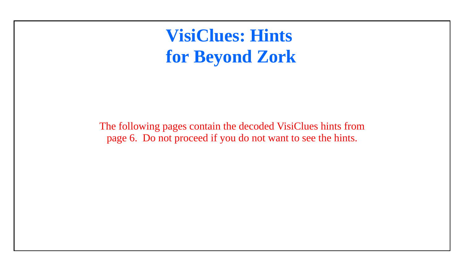**VisiClues: Hints for Beyond Zork**

The following pages contain the decoded VisiClues hints from page 6. Do not proceed if you do not want to see the hints.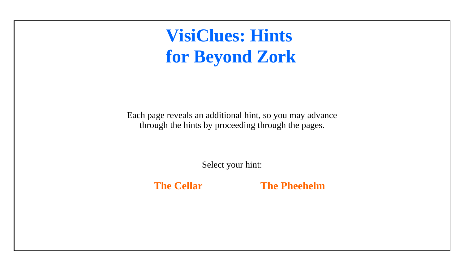# <span id="page-1-0"></span>**VisiClues: Hints for Beyond Zork**

Each page reveals an additional hint, so you may advance through the hints by proceeding through the pages.

Select your hint:

 **[The Cellar](#page-2-0) [The Pheehelm](#page-18-0)**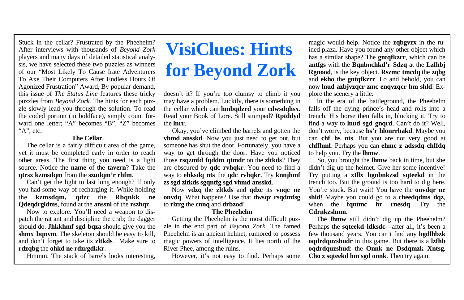#### **The Cellar**

 The cellar is a fairly difficult area of the game, yet it must be completed early in order to reach other areas. The first thing you need is a light source. Notice the **name** of the **tavern**? Take the **qtrsx kzmsdqm** from the **szudqm'r rhfm**.

 Can't get the light to last long enough? If only you had some way of recharging it. While holding the **kzmsdqm, qdzc** the **Rbqnkk ne Qdeqdrgldms**, found at the **anssnl** of the **rszhqr**.

 Now to explore. You'll need a weapon to dispatch the rat ant and discipline the crab; the dagger should do. **Jhkkhmf sgd bqza** should give you the **shmx bqnvm**. The skeleton should be easy to kill, and don't forget to take its **zltkds**. Make sure to **rdzqbg** the **ohkd ne rdzrgdkkr**.

Hmmm. The stack of barrels looks interesting,

# <span id="page-2-0"></span>**VisiClues: Hints for Beyond Zork**

doesn't it? If you're too clumsy to climb it you may have a problem. Luckily, there is something in the cellar which can **hmbqdzrd** your **cdwsdqhsx**. Read your Book of Lore. Still stumped? **Rptddyd** the **lnrr**.

 Okay, you've climbed the barrels and gotten the **vhmd ansskd**. Now you just need to get out, but someone has shut the door. Fortunately, you have a way to get through the door. Have you noticed those **rsqzmfd fqddm qtmdr** on the **zltkds**? They are obscured by **qdc rvhqkr**. You need to find a way to **ehksdq nts** the **qdc rvhqkr**. Try **knnjhmf zs sgd zltkds sgqntfg sgd vhmd ansskd**.

 Now **vdzq** the **zltkds** and **qdzc** its **vnqc ne onvdq**. What happens? Use that **dwsqz rsqdmfsg** to **rlzrg** the **cnnq** and **drbzod**!

#### **The Pheehelm**

 Getting the Pheehelm is the most difficult puzzle in the end part of *Beyond Zork*. The famed Pheehelm is an ancient helmet, rumored to possess magic powers of intelligence. It lies north of the River Phee, among the ruins.

However, it's not easy to find. Perhaps some

magic would help. Notice the **zqbgvzx** in the ruined plaza. Have you found any other object which has a similar shape? The **gntqfkzrr**, which can be **antfgs** with the **Bqnbnchkd'r Sdzq** at the **Lzfhbj Rgnood**, is the key object. **Rszmc tmcdq** the **zqbg** and **ekho** the **gntqfkzrr**. Lo and behold, you can now **lnud azbjvzqcr zmc enqvzqcr hm shld**! Explore the scenery a little.

 In the era of the battleground, the Pheehelm falls off the dying prince's head and rolls into a trench. His horse then falls in, blocking it. Try to find a way to **lnud sgd gnqrd**. Can't do it? Well, don't worry, because **hs'r hlonrrhakd**. Maybe you can **chf hs nts**. But you are not very good at **chffhmf**. Perhaps you can **ehmc z adssdq chffdq** to help you. Try the **lhmw**.

 So, you brought the **lhmw** back in time, but she didn't dig up the helmet. Give her some incentive! Try putting a **xtllx bgnbnkzsd sqteekd** in the trench too. But the ground is too hard to dig here. You're stuck. But wait! You have the **onvdar ne shld**! Maybe you could go to a **cheedqdms dqz**, when the **fantmc hr rnesda**. Try the **Cdrnkzshnm**.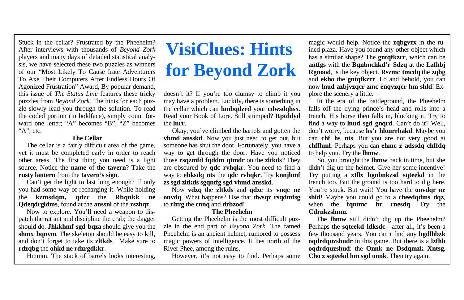#### **The Cellar**

 The cellar is a fairly difficult area of the game, yet it must be completed early in order to reach other areas. The first thing you need is a light source. Notice the **name** of the **tavern**? Take the **rusty lantern** from the **tavern's sign**.

 Can't get the light to last long enough? If only you had some way of recharging it. While holding the **kzmsdqm, qdzc** the **Rbqnkk ne Qdeqdrgldms**, found at the **anssnl** of the **rszhqr**.

 Now to explore. You'll need a weapon to dispatch the rat ant and discipline the crab; the dagger should do. **Jhkkhmf sgd bqza** should give you the **shmx bqnvm**. The skeleton should be easy to kill, and don't forget to take its **zltkds**. Make sure to **rdzqbg** the **ohkd ne rdzrgdkkr**.

Hmmm. The stack of barrels looks interesting,

# **VisiClues: Hints for Beyond Zork**

doesn't it? If you're too clumsy to climb it you may have a problem. Luckily, there is something in the cellar which can **hmbqdzrd** your **cdwsdqhsx**. Read your Book of Lore. Still stumped? **Rptddyd** the **lnrr**.

 Okay, you've climbed the barrels and gotten the **vhmd ansskd**. Now you just need to get out, but someone has shut the door. Fortunately, you have a way to get through the door. Have you noticed those **rsqzmfd fqddm qtmdr** on the **zltkds**? They are obscured by **qdc rvhqkr**. You need to find a way to **ehksdq nts** the **qdc rvhqkr**. Try **knnjhmf zs sgd zltkds sgqntfg sgd vhmd ansskd**.

 Now **vdzq** the **zltkds** and **qdzc** its **vnqc ne onvdq**. What happens? Use that **dwsqz rsqdmfsg** to **rlzrg** the **cnnq** and **drbzod**!

#### **The Pheehelm**

 Getting the Pheehelm is the most difficult puzzle in the end part of *Beyond Zork*. The famed Pheehelm is an ancient helmet, rumored to possess magic powers of intelligence. It lies north of the River Phee, among the ruins.

However, it's not easy to find. Perhaps some

magic would help. Notice the **zqbgvzx** in the ruined plaza. Have you found any other object which has a similar shape? The **gntqfkzrr**, which can be **antfgs** with the **Bqnbnchkd'r Sdzq** at the **Lzfhbj Rgnood**, is the key object. **Rszmc tmcdq** the **zqbg** and **ekho** the **gntqfkzrr**. Lo and behold, you can now **lnud azbjvzqcr zmc enqvzqcr hm shld**! Explore the scenery a little.

 In the era of the battleground, the Pheehelm falls off the dying prince's head and rolls into a trench. His horse then falls in, blocking it. Try to find a way to **lnud sgd gnqrd**. Can't do it? Well, don't worry, because **hs'r hlonrrhakd**. Maybe you can **chf hs nts**. But you are not very good at **chffhmf**. Perhaps you can **ehmc z adssdq chffdq** to help you. Try the **lhmw**.

 So, you brought the **lhmw** back in time, but she didn't dig up the helmet. Give her some incentive! Try putting a **xtllx bgnbnkzsd sqteekd** in the trench too. But the ground is too hard to dig here. You're stuck. But wait! You have the **onvdar ne shld**! Maybe you could go to a **cheedqdms dqz**, when the **fantmc hr rnesda**. Try the **Cdrnkzshnm**.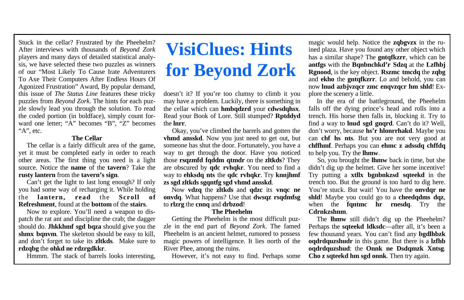#### **The Cellar**

 The cellar is a fairly difficult area of the game, yet it must be completed early in order to reach other areas. The first thing you need is a light source. Notice the **name** of the **tavern**? Take the **rusty lantern** from the **tavern's sign**.

 Can't get the light to last long enough? If only you had some way of recharging it. While holding the **lantern, read** the **Scroll of Refreshment**, found at the **bottom** of the **stairs**.

 Now to explore. You'll need a weapon to dispatch the rat ant and discipline the crab; the dagger should do. **Jhkkhmf sgd bqza** should give you the **shmx bqnvm**. The skeleton should be easy to kill, and don't forget to take its **zltkds**. Make sure to **rdzqbg** the **ohkd ne rdzrgdkkr**.

Hmmm. The stack of barrels looks interesting,

# **VisiClues: Hints for Beyond Zork**

doesn't it? If you're too clumsy to climb it you may have a problem. Luckily, there is something in the cellar which can **hmbqdzrd** your **cdwsdqhsx**. Read your Book of Lore. Still stumped? **Rptddyd** the **lnrr**.

 Okay, you've climbed the barrels and gotten the **vhmd ansskd**. Now you just need to get out, but someone has shut the door. Fortunately, you have a way to get through the door. Have you noticed those **rsqzmfd fqddm qtmdr** on the **zltkds**? They are obscured by **qdc rvhqkr**. You need to find a way to **ehksdq nts** the **qdc rvhqkr**. Try **knnjhmf zs sgd zltkds sgqntfg sgd vhmd ansskd**.

 Now **vdzq** the **zltkds** and **qdzc** its **vnqc ne onvdq**. What happens? Use that **dwsqz rsqdmfsg** to **rlzrg** the **cnnq** and **drbzod**!

#### **The Pheehelm**

 Getting the Pheehelm is the most difficult puzzle in the end part of *Beyond Zork*. The famed Pheehelm is an ancient helmet, rumored to possess magic powers of intelligence. It lies north of the River Phee, among the ruins.

However, it's not easy to find. Perhaps some

magic would help. Notice the **zqbgvzx** in the ruined plaza. Have you found any other object which has a similar shape? The **gntqfkzrr**, which can be **antfgs** with the **Bqnbnchkd'r Sdzq** at the **Lzfhbj Rgnood**, is the key object. **Rszmc tmcdq** the **zqbg** and **ekho** the **gntqfkzrr**. Lo and behold, you can now **lnud azbjvzqcr zmc enqvzqcr hm shld**! Explore the scenery a little.

 In the era of the battleground, the Pheehelm falls off the dying prince's head and rolls into a trench. His horse then falls in, blocking it. Try to find a way to **lnud sgd gnqrd**. Can't do it? Well, don't worry, because **hs'r hlonrrhakd**. Maybe you can **chf hs nts**. But you are not very good at **chffhmf**. Perhaps you can **ehmc z adssdq chffdq** to help you. Try the **lhmw**.

 So, you brought the **lhmw** back in time, but she didn't dig up the helmet. Give her some incentive! Try putting a **xtllx bgnbnkzsd sqteekd** in the trench too. But the ground is too hard to dig here. You're stuck. But wait! You have the **onvdar ne shld**! Maybe you could go to a **cheedqdms dqz**, when the **fantmc hr rnesda**. Try the **Cdrnkzshnm**.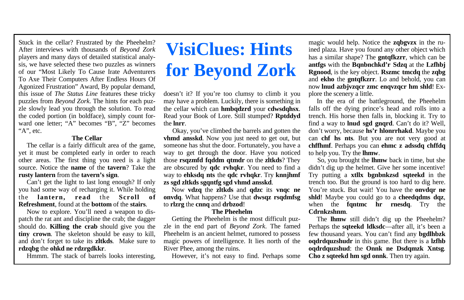#### **The Cellar**

 The cellar is a fairly difficult area of the game, yet it must be completed early in order to reach other areas. The first thing you need is a light source. Notice the **name** of the **tavern**? Take the **rusty lantern** from the **tavern's sign**.

 Can't get the light to last long enough? If only you had some way of recharging it. While holding the **lantern, read** the **Scroll of Refreshment**, found at the **bottom** of the **stairs**.

 Now to explore. You'll need a weapon to dispatch the rat ant and discipline the crab; the dagger should do. **Killing the crab** should give you the **tiny crown**. The skeleton should be easy to kill, and don't forget to take its **zltkds**. Make sure to **rdzqbg** the **ohkd ne rdzrgdkkr**.

Hmmm. The stack of barrels looks interesting,

# **VisiClues: Hints for Beyond Zork**

doesn't it? If you're too clumsy to climb it you may have a problem. Luckily, there is something in the cellar which can **hmbqdzrd** your **cdwsdqhsx**. Read your Book of Lore. Still stumped? **Rptddyd** the **lnrr**.

 Okay, you've climbed the barrels and gotten the **vhmd ansskd**. Now you just need to get out, but someone has shut the door. Fortunately, you have a way to get through the door. Have you noticed those **rsqzmfd fqddm qtmdr** on the **zltkds**? They are obscured by **qdc rvhqkr**. You need to find a way to **ehksdq nts** the **qdc rvhqkr**. Try **knnjhmf zs sgd zltkds sgqntfg sgd vhmd ansskd**.

 Now **vdzq** the **zltkds** and **qdzc** its **vnqc ne onvdq**. What happens? Use that **dwsqz rsqdmfsg** to **rlzrg** the **cnnq** and **drbzod**!

#### **The Pheehelm**

 Getting the Pheehelm is the most difficult puzzle in the end part of *Beyond Zork*. The famed Pheehelm is an ancient helmet, rumored to possess magic powers of intelligence. It lies north of the River Phee, among the ruins.

However, it's not easy to find. Perhaps some

magic would help. Notice the **zqbgvzx** in the ruined plaza. Have you found any other object which has a similar shape? The **gntqfkzrr**, which can be **antfgs** with the **Bqnbnchkd'r Sdzq** at the **Lzfhbj Rgnood**, is the key object. **Rszmc tmcdq** the **zqbg** and **ekho** the **gntqfkzrr**. Lo and behold, you can now **lnud azbjvzqcr zmc enqvzqcr hm shld**! Explore the scenery a little.

 In the era of the battleground, the Pheehelm falls off the dying prince's head and rolls into a trench. His horse then falls in, blocking it. Try to find a way to **lnud sgd gnqrd**. Can't do it? Well, don't worry, because **hs'r hlonrrhakd**. Maybe you can **chf hs nts**. But you are not very good at **chffhmf**. Perhaps you can **ehmc z adssdq chffdq** to help you. Try the **lhmw**.

 So, you brought the **lhmw** back in time, but she didn't dig up the helmet. Give her some incentive! Try putting a **xtllx bgnbnkzsd sqteekd** in the trench too. But the ground is too hard to dig here. You're stuck. But wait! You have the **onvdar ne shld**! Maybe you could go to a **cheedqdms dqz**, when the **fantmc hr rnesda**. Try the **Cdrnkzshnm**.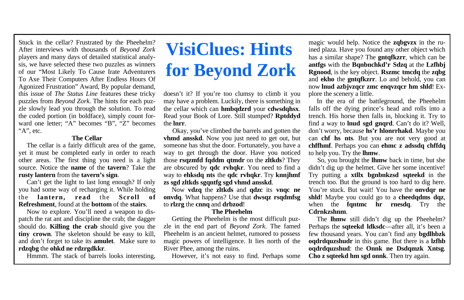#### **The Cellar**

 The cellar is a fairly difficult area of the game, yet it must be completed early in order to reach other areas. The first thing you need is a light source. Notice the **name** of the **tavern**? Take the **rusty lantern** from the **tavern's sign**.

 Can't get the light to last long enough? If only you had some way of recharging it. While holding the **lantern, read** the **Scroll of Refreshment**, found at the **bottom** of the **stairs**.

 Now to explore. You'll need a weapon to dispatch the rat ant and discipline the crab; the dagger should do. **Killing the crab** should give you the **tiny crown**. The skeleton should be easy to kill, and don't forget to take its **amulet**. Make sure to **rdzqbg** the **ohkd ne rdzrgdkkr**.

Hmmm. The stack of barrels looks interesting,

# **VisiClues: Hints for Beyond Zork**

doesn't it? If you're too clumsy to climb it you may have a problem. Luckily, there is something in the cellar which can **hmbqdzrd** your **cdwsdqhsx**. Read your Book of Lore. Still stumped? **Rptddyd** the **lnrr**.

 Okay, you've climbed the barrels and gotten the **vhmd ansskd**. Now you just need to get out, but someone has shut the door. Fortunately, you have a way to get through the door. Have you noticed those **rsqzmfd fqddm qtmdr** on the **zltkds**? They are obscured by **qdc rvhqkr**. You need to find a way to **ehksdq nts** the **qdc rvhqkr**. Try **knnjhmf zs sgd zltkds sgqntfg sgd vhmd ansskd**.

 Now **vdzq** the **zltkds** and **qdzc** its **vnqc ne onvdq**. What happens? Use that **dwsqz rsqdmfsg** to **rlzrg** the **cnnq** and **drbzod**!

#### **The Pheehelm**

 Getting the Pheehelm is the most difficult puzzle in the end part of *Beyond Zork*. The famed Pheehelm is an ancient helmet, rumored to possess magic powers of intelligence. It lies north of the River Phee, among the ruins.

However, it's not easy to find. Perhaps some

magic would help. Notice the **zqbgvzx** in the ruined plaza. Have you found any other object which has a similar shape? The **gntqfkzrr**, which can be **antfgs** with the **Bqnbnchkd'r Sdzq** at the **Lzfhbj Rgnood**, is the key object. **Rszmc tmcdq** the **zqbg** and **ekho** the **gntqfkzrr**. Lo and behold, you can now **lnud azbjvzqcr zmc enqvzqcr hm shld**! Explore the scenery a little.

 In the era of the battleground, the Pheehelm falls off the dying prince's head and rolls into a trench. His horse then falls in, blocking it. Try to find a way to **lnud sgd gnqrd**. Can't do it? Well, don't worry, because **hs'r hlonrrhakd**. Maybe you can **chf hs nts**. But you are not very good at **chffhmf**. Perhaps you can **ehmc z adssdq chffdq** to help you. Try the **lhmw**.

 So, you brought the **lhmw** back in time, but she didn't dig up the helmet. Give her some incentive! Try putting a **xtllx bgnbnkzsd sqteekd** in the trench too. But the ground is too hard to dig here. You're stuck. But wait! You have the **onvdar ne shld**! Maybe you could go to a **cheedqdms dqz**, when the **fantmc hr rnesda**. Try the **Cdrnkzshnm**.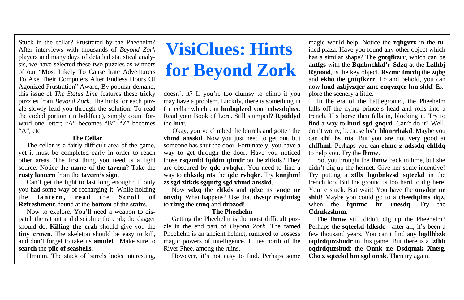#### **The Cellar**

 The cellar is a fairly difficult area of the game, yet it must be completed early in order to reach other areas. The first thing you need is a light source. Notice the **name** of the **tavern**? Take the **rusty lantern** from the **tavern's sign**.

 Can't get the light to last long enough? If only you had some way of recharging it. While holding the **lantern, read** the **Scroll of Refreshment**, found at the **bottom** of the **stairs**.

 Now to explore. You'll need a weapon to dispatch the rat ant and discipline the crab; the dagger should do. **Killing the crab** should give you the **tiny crown**. The skeleton should be easy to kill, and don't forget to take its **amulet**. Make sure to **search** the **pile of seashells**.

Hmmm. The stack of barrels looks interesting,

# **VisiClues: Hints for Beyond Zork**

doesn't it? If you're too clumsy to climb it you may have a problem. Luckily, there is something in the cellar which can **hmbqdzrd** your **cdwsdqhsx**. Read your Book of Lore. Still stumped? **Rptddyd** the **lnrr**.

 Okay, you've climbed the barrels and gotten the **vhmd ansskd**. Now you just need to get out, but someone has shut the door. Fortunately, you have a way to get through the door. Have you noticed those **rsqzmfd fqddm qtmdr** on the **zltkds**? They are obscured by **qdc rvhqkr**. You need to find a way to **ehksdq nts** the **qdc rvhqkr**. Try **knnjhmf zs sgd zltkds sgqntfg sgd vhmd ansskd**.

 Now **vdzq** the **zltkds** and **qdzc** its **vnqc ne onvdq**. What happens? Use that **dwsqz rsqdmfsg** to **rlzrg** the **cnnq** and **drbzod**!

#### **The Pheehelm**

 Getting the Pheehelm is the most difficult puzzle in the end part of *Beyond Zork*. The famed Pheehelm is an ancient helmet, rumored to possess magic powers of intelligence. It lies north of the River Phee, among the ruins.

However, it's not easy to find. Perhaps some

magic would help. Notice the **zqbgvzx** in the ruined plaza. Have you found any other object which has a similar shape? The **gntqfkzrr**, which can be **antfgs** with the **Bqnbnchkd'r Sdzq** at the **Lzfhbj Rgnood**, is the key object. **Rszmc tmcdq** the **zqbg** and **ekho** the **gntqfkzrr**. Lo and behold, you can now **lnud azbjvzqcr zmc enqvzqcr hm shld**! Explore the scenery a little.

 In the era of the battleground, the Pheehelm falls off the dying prince's head and rolls into a trench. His horse then falls in, blocking it. Try to find a way to **lnud sgd gnqrd**. Can't do it? Well, don't worry, because **hs'r hlonrrhakd**. Maybe you can **chf hs nts**. But you are not very good at **chffhmf**. Perhaps you can **ehmc z adssdq chffdq** to help you. Try the **lhmw**.

 So, you brought the **lhmw** back in time, but she didn't dig up the helmet. Give her some incentive! Try putting a **xtllx bgnbnkzsd sqteekd** in the trench too. But the ground is too hard to dig here. You're stuck. But wait! You have the **onvdar ne shld**! Maybe you could go to a **cheedqdms dqz**, when the **fantmc hr rnesda**. Try the **Cdrnkzshnm**.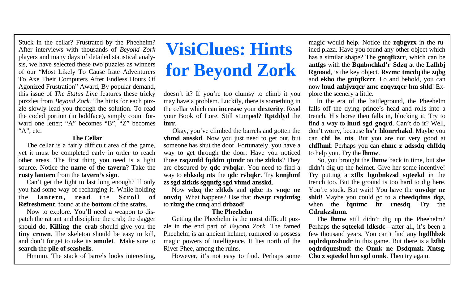#### **The Cellar**

 The cellar is a fairly difficult area of the game, yet it must be completed early in order to reach other areas. The first thing you need is a light source. Notice the **name** of the **tavern**? Take the **rusty lantern** from the **tavern's sign**.

 Can't get the light to last long enough? If only you had some way of recharging it. While holding the **lantern, read** the **Scroll of Refreshment**, found at the **bottom** of the **stairs**.

 Now to explore. You'll need a weapon to dispatch the rat ant and discipline the crab; the dagger should do. **Killing the crab** should give you the **tiny crown**. The skeleton should be easy to kill, and don't forget to take its **amulet**. Make sure to **search** the **pile of seashells**.

Hmmm. The stack of barrels looks interesting,

# **VisiClues: Hints for Beyond Zork**

doesn't it? If you're too clumsy to climb it you may have a problem. Luckily, there is something in the cellar which can **increase** your **dexterity**. Read your Book of Lore. Still stumped? **Rptddyd** the **lnrr**.

 Okay, you've climbed the barrels and gotten the **vhmd ansskd**. Now you just need to get out, but someone has shut the door. Fortunately, you have a way to get through the door. Have you noticed those **rsqzmfd fqddm qtmdr** on the **zltkds**? They are obscured by **qdc rvhqkr**. You need to find a way to **ehksdq nts** the **qdc rvhqkr**. Try **knnjhmf zs sgd zltkds sgqntfg sgd vhmd ansskd**.

 Now **vdzq** the **zltkds** and **qdzc** its **vnqc ne onvdq**. What happens? Use that **dwsqz rsqdmfsg** to **rlzrg** the **cnnq** and **drbzod**!

#### **The Pheehelm**

 Getting the Pheehelm is the most difficult puzzle in the end part of *Beyond Zork*. The famed Pheehelm is an ancient helmet, rumored to possess magic powers of intelligence. It lies north of the River Phee, among the ruins.

However, it's not easy to find. Perhaps some

magic would help. Notice the **zqbgvzx** in the ruined plaza. Have you found any other object which has a similar shape? The **gntqfkzrr**, which can be **antfgs** with the **Bqnbnchkd'r Sdzq** at the **Lzfhbj Rgnood**, is the key object. **Rszmc tmcdq** the **zqbg** and **ekho** the **gntqfkzrr**. Lo and behold, you can now **lnud azbjvzqcr zmc enqvzqcr hm shld**! Explore the scenery a little.

 In the era of the battleground, the Pheehelm falls off the dying prince's head and rolls into a trench. His horse then falls in, blocking it. Try to find a way to **lnud sgd gnqrd**. Can't do it? Well, don't worry, because **hs'r hlonrrhakd**. Maybe you can **chf hs nts**. But you are not very good at **chffhmf**. Perhaps you can **ehmc z adssdq chffdq** to help you. Try the **lhmw**.

 So, you brought the **lhmw** back in time, but she didn't dig up the helmet. Give her some incentive! Try putting a **xtllx bgnbnkzsd sqteekd** in the trench too. But the ground is too hard to dig here. You're stuck. But wait! You have the **onvdar ne shld**! Maybe you could go to a **cheedqdms dqz**, when the **fantmc hr rnesda**. Try the **Cdrnkzshnm**.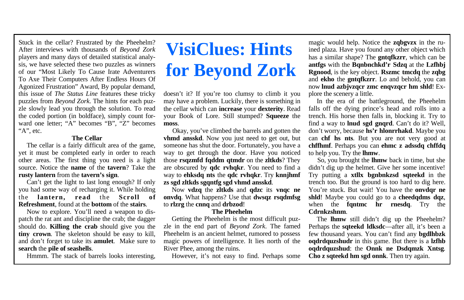#### **The Cellar**

 The cellar is a fairly difficult area of the game, yet it must be completed early in order to reach other areas. The first thing you need is a light source. Notice the **name** of the **tavern**? Take the **rusty lantern** from the **tavern's sign**.

 Can't get the light to last long enough? If only you had some way of recharging it. While holding the **lantern, read** the **Scroll of Refreshment**, found at the **bottom** of the **stairs**.

 Now to explore. You'll need a weapon to dispatch the rat ant and discipline the crab; the dagger should do. **Killing the crab** should give you the **tiny crown**. The skeleton should be easy to kill, and don't forget to take its **amulet**. Make sure to **search** the **pile of seashells**.

Hmmm. The stack of barrels looks interesting,

# **VisiClues: Hints for Beyond Zork**

doesn't it? If you're too clumsy to climb it you may have a problem. Luckily, there is something in the cellar which can **increase** your **dexterity**. Read your Book of Lore. Still stumped? **Squeeze** the **moss**.

 Okay, you've climbed the barrels and gotten the **vhmd ansskd**. Now you just need to get out, but someone has shut the door. Fortunately, you have a way to get through the door. Have you noticed those **rsqzmfd fqddm qtmdr** on the **zltkds**? They are obscured by **qdc rvhqkr**. You need to find a way to **ehksdq nts** the **qdc rvhqkr**. Try **knnjhmf zs sgd zltkds sgqntfg sgd vhmd ansskd**.

 Now **vdzq** the **zltkds** and **qdzc** its **vnqc ne onvdq**. What happens? Use that **dwsqz rsqdmfsg** to **rlzrg** the **cnnq** and **drbzod**!

#### **The Pheehelm**

 Getting the Pheehelm is the most difficult puzzle in the end part of *Beyond Zork*. The famed Pheehelm is an ancient helmet, rumored to possess magic powers of intelligence. It lies north of the River Phee, among the ruins.

However, it's not easy to find. Perhaps some

magic would help. Notice the **zqbgvzx** in the ruined plaza. Have you found any other object which has a similar shape? The **gntqfkzrr**, which can be **antfgs** with the **Bqnbnchkd'r Sdzq** at the **Lzfhbj Rgnood**, is the key object. **Rszmc tmcdq** the **zqbg** and **ekho** the **gntqfkzrr**. Lo and behold, you can now **lnud azbjvzqcr zmc enqvzqcr hm shld**! Explore the scenery a little.

 In the era of the battleground, the Pheehelm falls off the dying prince's head and rolls into a trench. His horse then falls in, blocking it. Try to find a way to **lnud sgd gnqrd**. Can't do it? Well, don't worry, because **hs'r hlonrrhakd**. Maybe you can **chf hs nts**. But you are not very good at **chffhmf**. Perhaps you can **ehmc z adssdq chffdq** to help you. Try the **lhmw**.

 So, you brought the **lhmw** back in time, but she didn't dig up the helmet. Give her some incentive! Try putting a **xtllx bgnbnkzsd sqteekd** in the trench too. But the ground is too hard to dig here. You're stuck. But wait! You have the **onvdar ne shld**! Maybe you could go to a **cheedqdms dqz**, when the **fantmc hr rnesda**. Try the **Cdrnkzshnm**.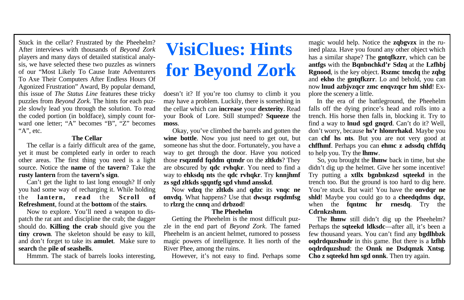#### **The Cellar**

 The cellar is a fairly difficult area of the game, yet it must be completed early in order to reach other areas. The first thing you need is a light source. Notice the **name** of the **tavern**? Take the **rusty lantern** from the **tavern's sign**.

 Can't get the light to last long enough? If only you had some way of recharging it. While holding the **lantern, read** the **Scroll of Refreshment**, found at the **bottom** of the **stairs**.

 Now to explore. You'll need a weapon to dispatch the rat ant and discipline the crab; the dagger should do. **Killing the crab** should give you the **tiny crown**. The skeleton should be easy to kill, and don't forget to take its **amulet**. Make sure to **search** the **pile of seashells**.

Hmmm. The stack of barrels looks interesting,

# **VisiClues: Hints for Beyond Zork**

doesn't it? If you're too clumsy to climb it you may have a problem. Luckily, there is something in the cellar which can **increase** your **dexterity**. Read your Book of Lore. Still stumped? **Squeeze** the **moss**.

 Okay, you've climbed the barrels and gotten the **wine bottle**. Now you just need to get out, but someone has shut the door. Fortunately, you have a way to get through the door. Have you noticed those **rsqzmfd fqddm qtmdr** on the **zltkds**? They are obscured by **qdc rvhqkr**. You need to find a way to **ehksdq nts** the **qdc rvhqkr**. Try **knnjhmf zs sgd zltkds sgqntfg sgd vhmd ansskd**.

 Now **vdzq** the **zltkds** and **qdzc** its **vnqc ne onvdq**. What happens? Use that **dwsqz rsqdmfsg** to **rlzrg** the **cnnq** and **drbzod**!

#### **The Pheehelm**

 Getting the Pheehelm is the most difficult puzzle in the end part of *Beyond Zork*. The famed Pheehelm is an ancient helmet, rumored to possess magic powers of intelligence. It lies north of the River Phee, among the ruins.

However, it's not easy to find. Perhaps some

magic would help. Notice the **zqbgvzx** in the ruined plaza. Have you found any other object which has a similar shape? The **gntqfkzrr**, which can be **antfgs** with the **Bqnbnchkd'r Sdzq** at the **Lzfhbj Rgnood**, is the key object. **Rszmc tmcdq** the **zqbg** and **ekho** the **gntqfkzrr**. Lo and behold, you can now **lnud azbjvzqcr zmc enqvzqcr hm shld**! Explore the scenery a little.

 In the era of the battleground, the Pheehelm falls off the dying prince's head and rolls into a trench. His horse then falls in, blocking it. Try to find a way to **lnud sgd gnqrd**. Can't do it? Well, don't worry, because **hs'r hlonrrhakd**. Maybe you can **chf hs nts**. But you are not very good at **chffhmf**. Perhaps you can **ehmc z adssdq chffdq** to help you. Try the **lhmw**.

 So, you brought the **lhmw** back in time, but she didn't dig up the helmet. Give her some incentive! Try putting a **xtllx bgnbnkzsd sqteekd** in the trench too. But the ground is too hard to dig here. You're stuck. But wait! You have the **onvdar ne shld**! Maybe you could go to a **cheedqdms dqz**, when the **fantmc hr rnesda**. Try the **Cdrnkzshnm**.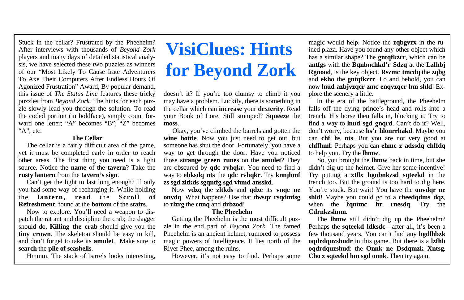#### **The Cellar**

 The cellar is a fairly difficult area of the game, yet it must be completed early in order to reach other areas. The first thing you need is a light source. Notice the **name** of the **tavern**? Take the **rusty lantern** from the **tavern's sign**.

 Can't get the light to last long enough? If only you had some way of recharging it. While holding the **lantern, read** the **Scroll of Refreshment**, found at the **bottom** of the **stairs**.

 Now to explore. You'll need a weapon to dispatch the rat ant and discipline the crab; the dagger should do. **Killing the crab** should give you the **tiny crown**. The skeleton should be easy to kill, and don't forget to take its **amulet**. Make sure to **search** the **pile of seashells**.

Hmmm. The stack of barrels looks interesting,

# **VisiClues: Hints for Beyond Zork**

doesn't it? If you're too clumsy to climb it you may have a problem. Luckily, there is something in the cellar which can **increase** your **dexterity**. Read your Book of Lore. Still stumped? **Squeeze** the **moss**.

 Okay, you've climbed the barrels and gotten the **wine bottle**. Now you just need to get out, but someone has shut the door. Fortunately, you have a way to get through the door. Have you noticed those **strange green runes** on the **amulet**? They are obscured by **qdc rvhqkr**. You need to find a way to **ehksdq nts** the **qdc rvhqkr**. Try **knnjhmf zs sgd zltkds sgqntfg sgd vhmd ansskd**.

 Now **vdzq** the **zltkds** and **qdzc** its **vnqc ne onvdq**. What happens? Use that **dwsqz rsqdmfsg** to **rlzrg** the **cnnq** and **drbzod**!

#### **The Pheehelm**

 Getting the Pheehelm is the most difficult puzzle in the end part of *Beyond Zork*. The famed Pheehelm is an ancient helmet, rumored to possess magic powers of intelligence. It lies north of the River Phee, among the ruins.

However, it's not easy to find. Perhaps some

magic would help. Notice the **zqbgvzx** in the ruined plaza. Have you found any other object which has a similar shape? The **gntqfkzrr**, which can be **antfgs** with the **Bqnbnchkd'r Sdzq** at the **Lzfhbj Rgnood**, is the key object. **Rszmc tmcdq** the **zqbg** and **ekho** the **gntqfkzrr**. Lo and behold, you can now **lnud azbjvzqcr zmc enqvzqcr hm shld**! Explore the scenery a little.

 In the era of the battleground, the Pheehelm falls off the dying prince's head and rolls into a trench. His horse then falls in, blocking it. Try to find a way to **lnud sgd gnqrd**. Can't do it? Well, don't worry, because **hs'r hlonrrhakd**. Maybe you can **chf hs nts**. But you are not very good at **chffhmf**. Perhaps you can **ehmc z adssdq chffdq** to help you. Try the **lhmw**.

 So, you brought the **lhmw** back in time, but she didn't dig up the helmet. Give her some incentive! Try putting a **xtllx bgnbnkzsd sqteekd** in the trench too. But the ground is too hard to dig here. You're stuck. But wait! You have the **onvdar ne shld**! Maybe you could go to a **cheedqdms dqz**, when the **fantmc hr rnesda**. Try the **Cdrnkzshnm**.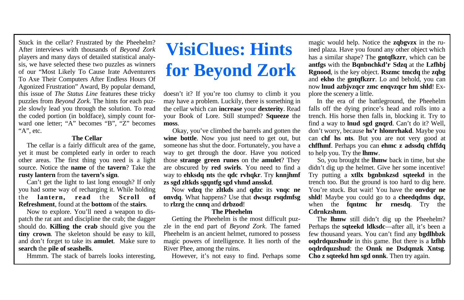#### **The Cellar**

 The cellar is a fairly difficult area of the game, yet it must be completed early in order to reach other areas. The first thing you need is a light source. Notice the **name** of the **tavern**? Take the **rusty lantern** from the **tavern's sign**.

 Can't get the light to last long enough? If only you had some way of recharging it. While holding the **lantern, read** the **Scroll of Refreshment**, found at the **bottom** of the **stairs**.

 Now to explore. You'll need a weapon to dispatch the rat ant and discipline the crab; the dagger should do. **Killing the crab** should give you the **tiny crown**. The skeleton should be easy to kill, and don't forget to take its **amulet**. Make sure to **search** the **pile of seashells**.

Hmmm. The stack of barrels looks interesting,

# **VisiClues: Hints for Beyond Zork**

doesn't it? If you're too clumsy to climb it you may have a problem. Luckily, there is something in the cellar which can **increase** your **dexterity**. Read your Book of Lore. Still stumped? **Squeeze** the **moss**.

 Okay, you've climbed the barrels and gotten the **wine bottle**. Now you just need to get out, but someone has shut the door. Fortunately, you have a way to get through the door. Have you noticed those **strange green runes** on the **amulet**? They are obscured by **red swirls**. You need to find a way to **ehksdq nts** the **qdc rvhqkr**. Try **knnjhmf zs sgd zltkds sgqntfg sgd vhmd ansskd**.

 Now **vdzq** the **zltkds** and **qdzc** its **vnqc ne onvdq**. What happens? Use that **dwsqz rsqdmfsg** to **rlzrg** the **cnnq** and **drbzod**!

#### **The Pheehelm**

 Getting the Pheehelm is the most difficult puzzle in the end part of *Beyond Zork*. The famed Pheehelm is an ancient helmet, rumored to possess magic powers of intelligence. It lies north of the River Phee, among the ruins.

However, it's not easy to find. Perhaps some

magic would help. Notice the **zqbgvzx** in the ruined plaza. Have you found any other object which has a similar shape? The **gntqfkzrr**, which can be **antfgs** with the **Bqnbnchkd'r Sdzq** at the **Lzfhbj Rgnood**, is the key object. **Rszmc tmcdq** the **zqbg** and **ekho** the **gntqfkzrr**. Lo and behold, you can now **lnud azbjvzqcr zmc enqvzqcr hm shld**! Explore the scenery a little.

 In the era of the battleground, the Pheehelm falls off the dying prince's head and rolls into a trench. His horse then falls in, blocking it. Try to find a way to **lnud sgd gnqrd**. Can't do it? Well, don't worry, because **hs'r hlonrrhakd**. Maybe you can **chf hs nts**. But you are not very good at **chffhmf**. Perhaps you can **ehmc z adssdq chffdq** to help you. Try the **lhmw**.

 So, you brought the **lhmw** back in time, but she didn't dig up the helmet. Give her some incentive! Try putting a **xtllx bgnbnkzsd sqteekd** in the trench too. But the ground is too hard to dig here. You're stuck. But wait! You have the **onvdar ne shld**! Maybe you could go to a **cheedqdms dqz**, when the **fantmc hr rnesda**. Try the **Cdrnkzshnm**.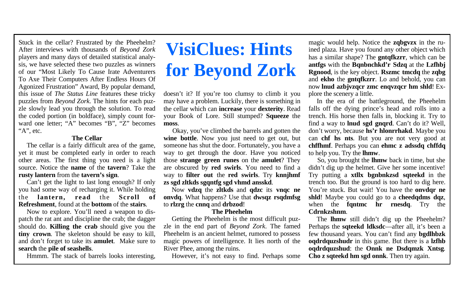#### **The Cellar**

 The cellar is a fairly difficult area of the game, yet it must be completed early in order to reach other areas. The first thing you need is a light source. Notice the **name** of the **tavern**? Take the **rusty lantern** from the **tavern's sign**.

 Can't get the light to last long enough? If only you had some way of recharging it. While holding the **lantern, read** the **Scroll of Refreshment**, found at the **bottom** of the **stairs**.

 Now to explore. You'll need a weapon to dispatch the rat ant and discipline the crab; the dagger should do. **Killing the crab** should give you the **tiny crown**. The skeleton should be easy to kill, and don't forget to take its **amulet**. Make sure to **search** the **pile of seashells**.

Hmmm. The stack of barrels looks interesting,

# **VisiClues: Hints for Beyond Zork**

doesn't it? If you're too clumsy to climb it you may have a problem. Luckily, there is something in the cellar which can **increase** your **dexterity**. Read your Book of Lore. Still stumped? **Squeeze** the **moss**.

 Okay, you've climbed the barrels and gotten the **wine bottle**. Now you just need to get out, but someone has shut the door. Fortunately, you have a way to get through the door. Have you noticed those **strange green runes** on the **amulet**? They are obscured by **red swirls**. You need to find a way to **filter out** the **red swirls**. Try **knnjhmf zs sgd zltkds sgqntfg sgd vhmd ansskd**.

 Now **vdzq** the **zltkds** and **qdzc** its **vnqc ne onvdq**. What happens? Use that **dwsqz rsqdmfsg** to **rlzrg** the **cnnq** and **drbzod**!

#### **The Pheehelm**

 Getting the Pheehelm is the most difficult puzzle in the end part of *Beyond Zork*. The famed Pheehelm is an ancient helmet, rumored to possess magic powers of intelligence. It lies north of the River Phee, among the ruins.

However, it's not easy to find. Perhaps some

magic would help. Notice the **zqbgvzx** in the ruined plaza. Have you found any other object which has a similar shape? The **gntqfkzrr**, which can be **antfgs** with the **Bqnbnchkd'r Sdzq** at the **Lzfhbj Rgnood**, is the key object. **Rszmc tmcdq** the **zqbg** and **ekho** the **gntqfkzrr**. Lo and behold, you can now **lnud azbjvzqcr zmc enqvzqcr hm shld**! Explore the scenery a little.

 In the era of the battleground, the Pheehelm falls off the dying prince's head and rolls into a trench. His horse then falls in, blocking it. Try to find a way to **lnud sgd gnqrd**. Can't do it? Well, don't worry, because **hs'r hlonrrhakd**. Maybe you can **chf hs nts**. But you are not very good at **chffhmf**. Perhaps you can **ehmc z adssdq chffdq** to help you. Try the **lhmw**.

 So, you brought the **lhmw** back in time, but she didn't dig up the helmet. Give her some incentive! Try putting a **xtllx bgnbnkzsd sqteekd** in the trench too. But the ground is too hard to dig here. You're stuck. But wait! You have the **onvdar ne shld**! Maybe you could go to a **cheedqdms dqz**, when the **fantmc hr rnesda**. Try the **Cdrnkzshnm**.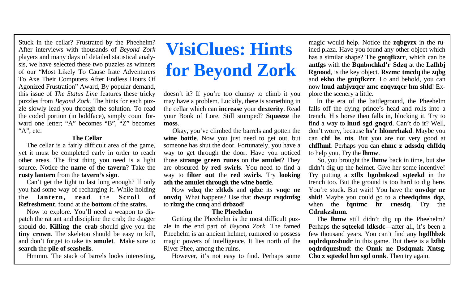#### **The Cellar**

 The cellar is a fairly difficult area of the game, yet it must be completed early in order to reach other areas. The first thing you need is a light source. Notice the **name** of the **tavern**? Take the **rusty lantern** from the **tavern's sign**.

 Can't get the light to last long enough? If only you had some way of recharging it. While holding the **lantern, read** the **Scroll of Refreshment**, found at the **bottom** of the **stairs**.

 Now to explore. You'll need a weapon to dispatch the rat ant and discipline the crab; the dagger should do. **Killing the crab** should give you the **tiny crown**. The skeleton should be easy to kill, and don't forget to take its **amulet**. Make sure to **search** the **pile of seashells**.

Hmmm. The stack of barrels looks interesting,

# **VisiClues: Hints for Beyond Zork**

doesn't it? If you're too clumsy to climb it you may have a problem. Luckily, there is something in the cellar which can **increase** your **dexterity**. Read your Book of Lore. Still stumped? **Squeeze** the **moss**.

 Okay, you've climbed the barrels and gotten the **wine bottle**. Now you just need to get out, but someone has shut the door. Fortunately, you have a way to get through the door. Have you noticed those **strange green runes** on the **amulet**? They are obscured by **red swirls**. You need to find a way to **filter out** the **red swirls**. Try **looking ath the amulet through the wine bottle**.

 Now **vdzq** the **zltkds** and **qdzc** its **vnqc ne onvdq**. What happens? Use that **dwsqz rsqdmfsg** to **rlzrg** the **cnnq** and **drbzod**!

#### **The Pheehelm**

 Getting the Pheehelm is the most difficult puzzle in the end part of *Beyond Zork*. The famed Pheehelm is an ancient helmet, rumored to possess magic powers of intelligence. It lies north of the River Phee, among the ruins.

However, it's not easy to find. Perhaps some

magic would help. Notice the **zqbgvzx** in the ruined plaza. Have you found any other object which has a similar shape? The **gntqfkzrr**, which can be **antfgs** with the **Bqnbnchkd'r Sdzq** at the **Lzfhbj Rgnood**, is the key object. **Rszmc tmcdq** the **zqbg** and **ekho** the **gntqfkzrr**. Lo and behold, you can now **lnud azbjvzqcr zmc enqvzqcr hm shld**! Explore the scenery a little.

 In the era of the battleground, the Pheehelm falls off the dying prince's head and rolls into a trench. His horse then falls in, blocking it. Try to find a way to **lnud sgd gnqrd**. Can't do it? Well, don't worry, because **hs'r hlonrrhakd**. Maybe you can **chf hs nts**. But you are not very good at **chffhmf**. Perhaps you can **ehmc z adssdq chffdq** to help you. Try the **lhmw**.

 So, you brought the **lhmw** back in time, but she didn't dig up the helmet. Give her some incentive! Try putting a **xtllx bgnbnkzsd sqteekd** in the trench too. But the ground is too hard to dig here. You're stuck. But wait! You have the **onvdar ne shld**! Maybe you could go to a **cheedqdms dqz**, when the **fantmc hr rnesda**. Try the **Cdrnkzshnm**.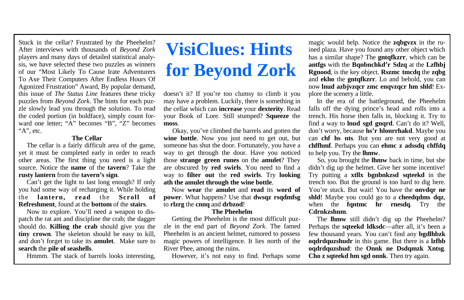#### **The Cellar**

 The cellar is a fairly difficult area of the game, yet it must be completed early in order to reach other areas. The first thing you need is a light source. Notice the **name** of the **tavern**? Take the **rusty lantern** from the **tavern's sign**.

 Can't get the light to last long enough? If only you had some way of recharging it. While holding the **lantern, read** the **Scroll of Refreshment**, found at the **bottom** of the **stairs**.

 Now to explore. You'll need a weapon to dispatch the rat ant and discipline the crab; the dagger should do. **Killing the crab** should give you the **tiny crown**. The skeleton should be easy to kill, and don't forget to take its **amulet**. Make sure to **search** the **pile of seashells**.

Hmmm. The stack of barrels looks interesting,

# **VisiClues: Hints for Beyond Zork**

doesn't it? If you're too clumsy to climb it you may have a problem. Luckily, there is something in the cellar which can **increase** your **dexterity**. Read your Book of Lore. Still stumped? **Squeeze** the **moss**.

 Okay, you've climbed the barrels and gotten the **wine bottle**. Now you just need to get out, but someone has shut the door. Fortunately, you have a way to get through the door. Have you noticed those **strange green runes** on the **amulet**? They are obscured by **red swirls**. You need to find a way to **filter out** the **red swirls**. Try **looking ath the amulet through the wine bottle**.

 Now **wear** the **amulet** and **read** its **word of power**. What happens? Use that **dwsqz rsqdmfsg** to **rlzrg** the **cnnq** and **drbzod**!

#### **The Pheehelm**

 Getting the Pheehelm is the most difficult puzzle in the end part of *Beyond Zork*. The famed Pheehelm is an ancient helmet, rumored to possess magic powers of intelligence. It lies north of the River Phee, among the ruins.

However, it's not easy to find. Perhaps some

magic would help. Notice the **zqbgvzx** in the ruined plaza. Have you found any other object which has a similar shape? The **gntqfkzrr**, which can be **antfgs** with the **Bqnbnchkd'r Sdzq** at the **Lzfhbj Rgnood**, is the key object. **Rszmc tmcdq** the **zqbg** and **ekho** the **gntqfkzrr**. Lo and behold, you can now **lnud azbjvzqcr zmc enqvzqcr hm shld**! Explore the scenery a little.

 In the era of the battleground, the Pheehelm falls off the dying prince's head and rolls into a trench. His horse then falls in, blocking it. Try to find a way to **lnud sgd gnqrd**. Can't do it? Well, don't worry, because **hs'r hlonrrhakd**. Maybe you can **chf hs nts**. But you are not very good at **chffhmf**. Perhaps you can **ehmc z adssdq chffdq** to help you. Try the **lhmw**.

 So, you brought the **lhmw** back in time, but she didn't dig up the helmet. Give her some incentive! Try putting a **xtllx bgnbnkzsd sqteekd** in the trench too. But the ground is too hard to dig here. You're stuck. But wait! You have the **onvdar ne shld**! Maybe you could go to a **cheedqdms dqz**, when the **fantmc hr rnesda**. Try the **Cdrnkzshnm**.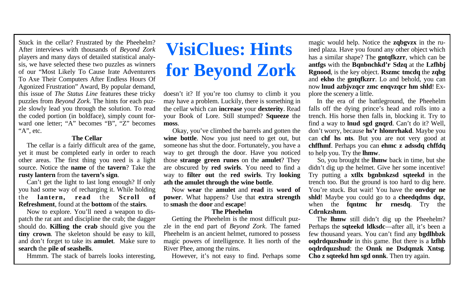#### **The Cellar**

 The cellar is a fairly difficult area of the game, yet it must be completed early in order to reach other areas. The first thing you need is a light source. Notice the **name** of the **tavern**? Take the **rusty lantern** from the **tavern's sign**.

 Can't get the light to last long enough? If only you had some way of recharging it. While holding the **lantern, read** the **Scroll of Refreshment**, found at the **bottom** of the **stairs**.

 Now to explore. You'll need a weapon to dispatch the rat ant and discipline the crab; the dagger should do. **Killing the crab** should give you the **tiny crown**. The skeleton should be easy to kill, and don't forget to take its **amulet**. Make sure to **search** the **pile of seashells**.

Hmmm. The stack of barrels looks interesting,

# **VisiClues: Hints for Beyond Zork**

doesn't it? If you're too clumsy to climb it you may have a problem. Luckily, there is something in the cellar which can **increase** your **dexterity**. Read your Book of Lore. Still stumped? **Squeeze** the **moss**.

 Okay, you've climbed the barrels and gotten the **wine bottle**. Now you just need to get out, but someone has shut the door. Fortunately, you have a way to get through the door. Have you noticed those **strange green runes** on the **amulet**? They are obscured by **red swirls**. You need to find a way to **filter out** the **red swirls**. Try **looking ath the amulet through the wine bottle**.

 Now **wear** the **amulet** and **read** its **word of power**. What happens? Use that **extra strength** to **smash** the **door** and **escape**!

#### **The Pheehelm**

 Getting the Pheehelm is the most difficult puzzle in the end part of *Beyond Zork*. The famed Pheehelm is an ancient helmet, rumored to possess magic powers of intelligence. It lies north of the River Phee, among the ruins.

However, it's not easy to find. Perhaps some

magic would help. Notice the **zqbgvzx** in the ruined plaza. Have you found any other object which has a similar shape? The **gntqfkzrr**, which can be **antfgs** with the **Bqnbnchkd'r Sdzq** at the **Lzfhbj Rgnood**, is the key object. **Rszmc tmcdq** the **zqbg** and **ekho** the **gntqfkzrr**. Lo and behold, you can now **lnud azbjvzqcr zmc enqvzqcr hm shld**! Explore the scenery a little.

 In the era of the battleground, the Pheehelm falls off the dying prince's head and rolls into a trench. His horse then falls in, blocking it. Try to find a way to **lnud sgd gnqrd**. Can't do it? Well, don't worry, because **hs'r hlonrrhakd**. Maybe you can **chf hs nts**. But you are not very good at **chffhmf**. Perhaps you can **ehmc z adssdq chffdq** to help you. Try the **lhmw**.

 So, you brought the **lhmw** back in time, but she didn't dig up the helmet. Give her some incentive! Try putting a **xtllx bgnbnkzsd sqteekd** in the trench too. But the ground is too hard to dig here. You're stuck. But wait! You have the **onvdar ne shld**! Maybe you could go to a **cheedqdms dqz**, when the **fantmc hr rnesda**. Try the **Cdrnkzshnm**.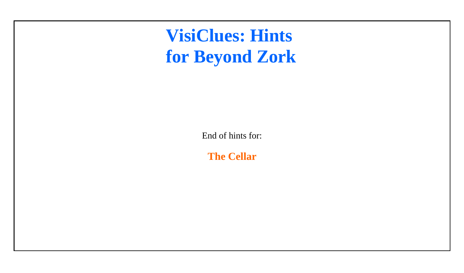# **VisiClues: Hints [for Beyond Zork](#page-1-0)**

End of hints for:

**The Cellar**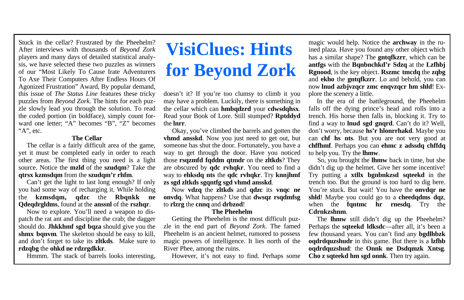#### **The Cellar**

 The cellar is a fairly difficult area of the game, yet it must be completed early in order to reach other areas. The first thing you need is a light source. Notice the **mzld** of the **szudqm**? Take the **qtrsx kzmsdqm** from the **szudqm'r rhfm**.

 Can't get the light to last long enough? If only you had some way of recharging it. While holding the **kzmsdqm, qdzc** the **Rbqnkk ne Qdeqdrgldms**, found at the **anssnl** of the **rszhqr**.

 Now to explore. You'll need a weapon to dispatch the rat ant and discipline the crab; the dagger should do. **Jhkkhmf sgd bqza** should give you the **shmx bqnvm**. The skeleton should be easy to kill, and don't forget to take its **zltkds**. Make sure to **rdzqbg** the **ohkd ne rdzrgdkkr**.

Hmmm. The stack of barrels looks interesting,

# <span id="page-18-0"></span>**VisiClues: Hints for Beyond Zork**

doesn't it? If you're too clumsy to climb it you may have a problem. Luckily, there is something in the cellar which can **hmbqdzrd** your **cdwsdqhsx**. Read your Book of Lore. Still stumped? **Rptddyd** the **lnrr**.

 Okay, you've climbed the barrels and gotten the **vhmd ansskd**. Now you just need to get out, but someone has shut the door. Fortunately, you have a way to get through the door. Have you noticed those **rsqzmfd fqddm qtmdr** on the **zltkds**? They are obscured by **qdc rvhqkr**. You need to find a way to **ehksdq nts** the **qdc rvhqkr**. Try **knnjhmf zs sgd zltkds sgqntfg sgd vhmd ansskd**.

 Now **vdzq** the **zltkds** and **qdzc** its **vnqc ne onvdq**. What happens? Use that **dwsqz rsqdmfsg** to **rlzrg** the **cnnq** and **drbzod**!

#### **The Pheehelm**

 Getting the Pheehelm is the most difficult puzzle in the end part of *Beyond Zork*. The famed Pheehelm is an ancient helmet, rumored to possess magic powers of intelligence. It lies north of the River Phee, among the ruins.

However, it's not easy to find. Perhaps some

magic would help. Notice the **archway** in the ruined plaza. Have you found any other object which has a similar shape? The **gntqfkzrr**, which can be **antfgs** with the **Bqnbnchkd'r Sdzq** at the **Lzfhbj Rgnood**, is the key object. **Rszmc tmcdq** the **zqbg** and **ekho** the **gntqfkzrr**. Lo and behold, you can now **lnud azbjvzqcr zmc enqvzqcr hm shld**! Explore the scenery a little.

 In the era of the battleground, the Pheehelm falls off the dying prince's head and rolls into a trench. His horse then falls in, blocking it. Try to find a way to **lnud sgd gnqrd**. Can't do it? Well, don't worry, because **hs'r hlonrrhakd**. Maybe you can **chf hs nts**. But you are not very good at **chffhmf**. Perhaps you can **ehmc z adssdq chffdq** to help you. Try the **lhmw**.

 So, you brought the **lhmw** back in time, but she didn't dig up the helmet. Give her some incentive! Try putting a **xtllx bgnbnkzsd sqteekd** in the trench too. But the ground is too hard to dig here. You're stuck. But wait! You have the **onvdar ne shld**! Maybe you could go to a **cheedqdms dqz**, when the **fantmc hr rnesda**. Try the **Cdrnkzshnm**.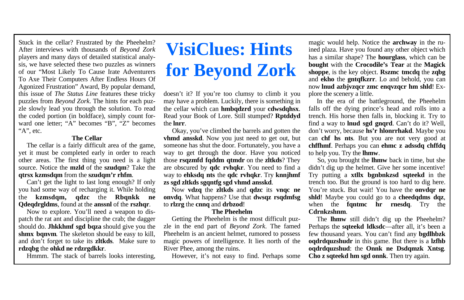#### **The Cellar**

 The cellar is a fairly difficult area of the game, yet it must be completed early in order to reach other areas. The first thing you need is a light source. Notice the **mzld** of the **szudqm**? Take the **qtrsx kzmsdqm** from the **szudqm'r rhfm**.

 Can't get the light to last long enough? If only you had some way of recharging it. While holding the **kzmsdqm, qdzc** the **Rbqnkk ne Qdeqdrgldms**, found at the **anssnl** of the **rszhqr**.

 Now to explore. You'll need a weapon to dispatch the rat ant and discipline the crab; the dagger should do. **Jhkkhmf sgd bqza** should give you the **shmx bqnvm**. The skeleton should be easy to kill, and don't forget to take its **zltkds**. Make sure to **rdzqbg** the **ohkd ne rdzrgdkkr**.

Hmmm. The stack of barrels looks interesting,

# **VisiClues: Hints for Beyond Zork**

doesn't it? If you're too clumsy to climb it you may have a problem. Luckily, there is something in the cellar which can **hmbqdzrd** your **cdwsdqhsx**. Read your Book of Lore. Still stumped? **Rptddyd** the **lnrr**.

 Okay, you've climbed the barrels and gotten the **vhmd ansskd**. Now you just need to get out, but someone has shut the door. Fortunately, you have a way to get through the door. Have you noticed those **rsqzmfd fqddm qtmdr** on the **zltkds**? They are obscured by **qdc rvhqkr**. You need to find a way to **ehksdq nts** the **qdc rvhqkr**. Try **knnjhmf zs sgd zltkds sgqntfg sgd vhmd ansskd**.

 Now **vdzq** the **zltkds** and **qdzc** its **vnqc ne onvdq**. What happens? Use that **dwsqz rsqdmfsg** to **rlzrg** the **cnnq** and **drbzod**!

#### **The Pheehelm**

 Getting the Pheehelm is the most difficult puzzle in the end part of *Beyond Zork*. The famed Pheehelm is an ancient helmet, rumored to possess magic powers of intelligence. It lies north of the River Phee, among the ruins.

However, it's not easy to find. Perhaps some

magic would help. Notice the **archway** in the ruined plaza. Have you found any other object which has a similar shape? The **hourglass**, which can be **bought** with the **Crocodile's Tear** at the **Magick shoppe**, is the key object. **Rszmc tmcdq** the **zqbg** and **ekho** the **gntqfkzrr**. Lo and behold, you can now **lnud azbjvzqcr zmc enqvzqcr hm shld**! Explore the scenery a little.

 In the era of the battleground, the Pheehelm falls off the dying prince's head and rolls into a trench. His horse then falls in, blocking it. Try to find a way to **lnud sgd gnqrd**. Can't do it? Well, don't worry, because **hs'r hlonrrhakd**. Maybe you can **chf hs nts**. But you are not very good at **chffhmf**. Perhaps you can **ehmc z adssdq chffdq** to help you. Try the **lhmw**.

 So, you brought the **lhmw** back in time, but she didn't dig up the helmet. Give her some incentive! Try putting a **xtllx bgnbnkzsd sqteekd** in the trench too. But the ground is too hard to dig here. You're stuck. But wait! You have the **onvdar ne shld**! Maybe you could go to a **cheedqdms dqz**, when the **fantmc hr rnesda**. Try the **Cdrnkzshnm**.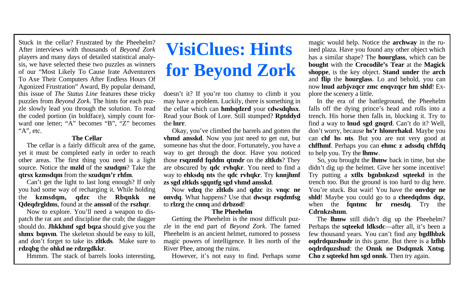#### **The Cellar**

 The cellar is a fairly difficult area of the game, yet it must be completed early in order to reach other areas. The first thing you need is a light source. Notice the **mzld** of the **szudqm**? Take the **qtrsx kzmsdqm** from the **szudqm'r rhfm**.

 Can't get the light to last long enough? If only you had some way of recharging it. While holding the **kzmsdqm, qdzc** the **Rbqnkk ne Qdeqdrgldms**, found at the **anssnl** of the **rszhqr**.

 Now to explore. You'll need a weapon to dispatch the rat ant and discipline the crab; the dagger should do. **Jhkkhmf sgd bqza** should give you the **shmx bqnvm**. The skeleton should be easy to kill, and don't forget to take its **zltkds**. Make sure to **rdzqbg** the **ohkd ne rdzrgdkkr**.

Hmmm. The stack of barrels looks interesting,

# **VisiClues: Hints for Beyond Zork**

doesn't it? If you're too clumsy to climb it you may have a problem. Luckily, there is something in the cellar which can **hmbqdzrd** your **cdwsdqhsx**. Read your Book of Lore. Still stumped? **Rptddyd** the **lnrr**.

 Okay, you've climbed the barrels and gotten the **vhmd ansskd**. Now you just need to get out, but someone has shut the door. Fortunately, you have a way to get through the door. Have you noticed those **rsqzmfd fqddm qtmdr** on the **zltkds**? They are obscured by **qdc rvhqkr**. You need to find a way to **ehksdq nts** the **qdc rvhqkr**. Try **knnjhmf zs sgd zltkds sgqntfg sgd vhmd ansskd**.

 Now **vdzq** the **zltkds** and **qdzc** its **vnqc ne onvdq**. What happens? Use that **dwsqz rsqdmfsg** to **rlzrg** the **cnnq** and **drbzod**!

#### **The Pheehelm**

 Getting the Pheehelm is the most difficult puzzle in the end part of *Beyond Zork*. The famed Pheehelm is an ancient helmet, rumored to possess magic powers of intelligence. It lies north of the River Phee, among the ruins.

However, it's not easy to find. Perhaps some

magic would help. Notice the **archway** in the ruined plaza. Have you found any other object which has a similar shape? The **hourglass**, which can be **bought** with the **Crocodile's Tear** at the **Magick shoppe**, is the key object. **Stand under** the **arch** and **flip** the **hourglass**. Lo and behold, you can now **lnud azbjvzqcr zmc enqvzqcr hm shld**! Explore the scenery a little.

 In the era of the battleground, the Pheehelm falls off the dying prince's head and rolls into a trench. His horse then falls in, blocking it. Try to find a way to **lnud sgd gnqrd**. Can't do it? Well, don't worry, because **hs'r hlonrrhakd**. Maybe you can **chf hs nts**. But you are not very good at **chffhmf**. Perhaps you can **ehmc z adssdq chffdq** to help you. Try the **lhmw**.

 So, you brought the **lhmw** back in time, but she didn't dig up the helmet. Give her some incentive! Try putting a **xtllx bgnbnkzsd sqteekd** in the trench too. But the ground is too hard to dig here. You're stuck. But wait! You have the **onvdar ne shld**! Maybe you could go to a **cheedqdms dqz**, when the **fantmc hr rnesda**. Try the **Cdrnkzshnm**.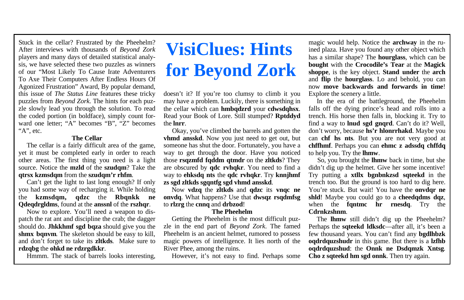#### **The Cellar**

 The cellar is a fairly difficult area of the game, yet it must be completed early in order to reach other areas. The first thing you need is a light source. Notice the **mzld** of the **szudqm**? Take the **qtrsx kzmsdqm** from the **szudqm'r rhfm**.

 Can't get the light to last long enough? If only you had some way of recharging it. While holding the **kzmsdqm, qdzc** the **Rbqnkk ne Qdeqdrgldms**, found at the **anssnl** of the **rszhqr**.

 Now to explore. You'll need a weapon to dispatch the rat ant and discipline the crab; the dagger should do. **Jhkkhmf sgd bqza** should give you the **shmx bqnvm**. The skeleton should be easy to kill, and don't forget to take its **zltkds**. Make sure to **rdzqbg** the **ohkd ne rdzrgdkkr**.

Hmmm. The stack of barrels looks interesting,

# **VisiClues: Hints for Beyond Zork**

doesn't it? If you're too clumsy to climb it you may have a problem. Luckily, there is something in the cellar which can **hmbqdzrd** your **cdwsdqhsx**. Read your Book of Lore. Still stumped? **Rptddyd** the **lnrr**.

 Okay, you've climbed the barrels and gotten the **vhmd ansskd**. Now you just need to get out, but someone has shut the door. Fortunately, you have a way to get through the door. Have you noticed those **rsqzmfd fqddm qtmdr** on the **zltkds**? They are obscured by **qdc rvhqkr**. You need to find a way to **ehksdq nts** the **qdc rvhqkr**. Try **knnjhmf zs sgd zltkds sgqntfg sgd vhmd ansskd**.

 Now **vdzq** the **zltkds** and **qdzc** its **vnqc ne onvdq**. What happens? Use that **dwsqz rsqdmfsg** to **rlzrg** the **cnnq** and **drbzod**!

#### **The Pheehelm**

 Getting the Pheehelm is the most difficult puzzle in the end part of *Beyond Zork*. The famed Pheehelm is an ancient helmet, rumored to possess magic powers of intelligence. It lies north of the River Phee, among the ruins.

However, it's not easy to find. Perhaps some

magic would help. Notice the **archway** in the ruined plaza. Have you found any other object which has a similar shape? The **hourglass**, which can be **bought** with the **Crocodile's Tear** at the **Magick shoppe**, is the key object. **Stand under** the **arch** and **flip** the **hourglass**. Lo and behold, you can now **move backwards and forwards in time**! Explore the scenery a little.

 In the era of the battleground, the Pheehelm falls off the dying prince's head and rolls into a trench. His horse then falls in, blocking it. Try to find a way to **lnud sgd gnqrd**. Can't do it? Well, don't worry, because **hs'r hlonrrhakd**. Maybe you can **chf hs nts**. But you are not very good at **chffhmf**. Perhaps you can **ehmc z adssdq chffdq** to help you. Try the **lhmw**.

 So, you brought the **lhmw** back in time, but she didn't dig up the helmet. Give her some incentive! Try putting a **xtllx bgnbnkzsd sqteekd** in the trench too. But the ground is too hard to dig here. You're stuck. But wait! You have the **onvdar ne shld**! Maybe you could go to a **cheedqdms dqz**, when the **fantmc hr rnesda**. Try the **Cdrnkzshnm**.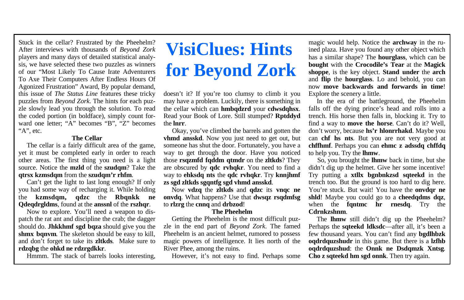#### **The Cellar**

 The cellar is a fairly difficult area of the game, yet it must be completed early in order to reach other areas. The first thing you need is a light source. Notice the **mzld** of the **szudqm**? Take the **qtrsx kzmsdqm** from the **szudqm'r rhfm**.

 Can't get the light to last long enough? If only you had some way of recharging it. While holding the **kzmsdqm, qdzc** the **Rbqnkk ne Qdeqdrgldms**, found at the **anssnl** of the **rszhqr**.

 Now to explore. You'll need a weapon to dispatch the rat ant and discipline the crab; the dagger should do. **Jhkkhmf sgd bqza** should give you the **shmx bqnvm**. The skeleton should be easy to kill, and don't forget to take its **zltkds**. Make sure to **rdzqbg** the **ohkd ne rdzrgdkkr**.

Hmmm. The stack of barrels looks interesting,

# **VisiClues: Hints for Beyond Zork**

doesn't it? If you're too clumsy to climb it you may have a problem. Luckily, there is something in the cellar which can **hmbqdzrd** your **cdwsdqhsx**. Read your Book of Lore. Still stumped? **Rptddyd** the **lnrr**.

 Okay, you've climbed the barrels and gotten the **vhmd ansskd**. Now you just need to get out, but someone has shut the door. Fortunately, you have a way to get through the door. Have you noticed those **rsqzmfd fqddm qtmdr** on the **zltkds**? They are obscured by **qdc rvhqkr**. You need to find a way to **ehksdq nts** the **qdc rvhqkr**. Try **knnjhmf zs sgd zltkds sgqntfg sgd vhmd ansskd**.

 Now **vdzq** the **zltkds** and **qdzc** its **vnqc ne onvdq**. What happens? Use that **dwsqz rsqdmfsg** to **rlzrg** the **cnnq** and **drbzod**!

#### **The Pheehelm**

 Getting the Pheehelm is the most difficult puzzle in the end part of *Beyond Zork*. The famed Pheehelm is an ancient helmet, rumored to possess magic powers of intelligence. It lies north of the River Phee, among the ruins.

However, it's not easy to find. Perhaps some

magic would help. Notice the **archway** in the ruined plaza. Have you found any other object which has a similar shape? The **hourglass**, which can be **bought** with the **Crocodile's Tear** at the **Magick shoppe**, is the key object. **Stand under** the **arch** and **flip** the **hourglass**. Lo and behold, you can now **move backwards and forwards in time**! Explore the scenery a little.

 In the era of the battleground, the Pheehelm falls off the dying prince's head and rolls into a trench. His horse then falls in, blocking it. Try to find a way to **move the horse**. Can't do it? Well, don't worry, because **hs'r hlonrrhakd**. Maybe you can **chf hs nts**. But you are not very good at **chffhmf**. Perhaps you can **ehmc z adssdq chffdq** to help you. Try the **lhmw**.

 So, you brought the **lhmw** back in time, but she didn't dig up the helmet. Give her some incentive! Try putting a **xtllx bgnbnkzsd sqteekd** in the trench too. But the ground is too hard to dig here. You're stuck. But wait! You have the **onvdar ne shld**! Maybe you could go to a **cheedqdms dqz**, when the **fantmc hr rnesda**. Try the **Cdrnkzshnm**.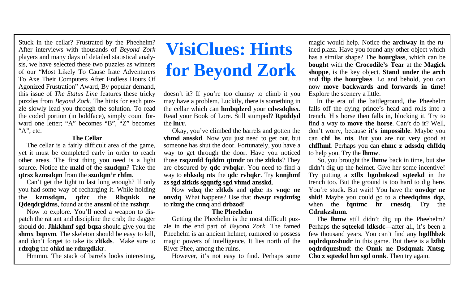#### **The Cellar**

 The cellar is a fairly difficult area of the game, yet it must be completed early in order to reach other areas. The first thing you need is a light source. Notice the **mzld** of the **szudqm**? Take the **qtrsx kzmsdqm** from the **szudqm'r rhfm**.

 Can't get the light to last long enough? If only you had some way of recharging it. While holding the **kzmsdqm, qdzc** the **Rbqnkk ne Qdeqdrgldms**, found at the **anssnl** of the **rszhqr**.

 Now to explore. You'll need a weapon to dispatch the rat ant and discipline the crab; the dagger should do. **Jhkkhmf sgd bqza** should give you the **shmx bqnvm**. The skeleton should be easy to kill, and don't forget to take its **zltkds**. Make sure to **rdzqbg** the **ohkd ne rdzrgdkkr**.

Hmmm. The stack of barrels looks interesting,

# **VisiClues: Hints for Beyond Zork**

doesn't it? If you're too clumsy to climb it you may have a problem. Luckily, there is something in the cellar which can **hmbqdzrd** your **cdwsdqhsx**. Read your Book of Lore. Still stumped? **Rptddyd** the **lnrr**.

 Okay, you've climbed the barrels and gotten the **vhmd ansskd**. Now you just need to get out, but someone has shut the door. Fortunately, you have a way to get through the door. Have you noticed those **rsqzmfd fqddm qtmdr** on the **zltkds**? They are obscured by **qdc rvhqkr**. You need to find a way to **ehksdq nts** the **qdc rvhqkr**. Try **knnjhmf zs sgd zltkds sgqntfg sgd vhmd ansskd**.

 Now **vdzq** the **zltkds** and **qdzc** its **vnqc ne onvdq**. What happens? Use that **dwsqz rsqdmfsg** to **rlzrg** the **cnnq** and **drbzod**!

#### **The Pheehelm**

 Getting the Pheehelm is the most difficult puzzle in the end part of *Beyond Zork*. The famed Pheehelm is an ancient helmet, rumored to possess magic powers of intelligence. It lies north of the River Phee, among the ruins.

However, it's not easy to find. Perhaps some

magic would help. Notice the **archway** in the ruined plaza. Have you found any other object which has a similar shape? The **hourglass**, which can be **bought** with the **Crocodile's Tear** at the **Magick shoppe**, is the key object. **Stand under** the **arch** and **flip** the **hourglass**. Lo and behold, you can now **move backwards and forwards in time**! Explore the scenery a little.

 In the era of the battleground, the Pheehelm falls off the dying prince's head and rolls into a trench. His horse then falls in, blocking it. Try to find a way to **move the horse**. Can't do it? Well, don't worry, because **it's impossible**. Maybe you can **chf hs nts**. But you are not very good at **chffhmf**. Perhaps you can **ehmc z adssdq chffdq** to help you. Try the **lhmw**.

 So, you brought the **lhmw** back in time, but she didn't dig up the helmet. Give her some incentive! Try putting a **xtllx bgnbnkzsd sqteekd** in the trench too. But the ground is too hard to dig here. You're stuck. But wait! You have the **onvdar ne shld**! Maybe you could go to a **cheedqdms dqz**, when the **fantmc hr rnesda**. Try the **Cdrnkzshnm**.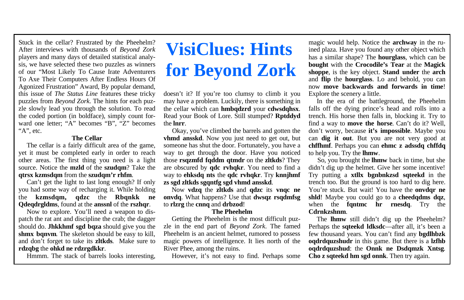#### **The Cellar**

 The cellar is a fairly difficult area of the game, yet it must be completed early in order to reach other areas. The first thing you need is a light source. Notice the **mzld** of the **szudqm**? Take the **qtrsx kzmsdqm** from the **szudqm'r rhfm**.

 Can't get the light to last long enough? If only you had some way of recharging it. While holding the **kzmsdqm, qdzc** the **Rbqnkk ne Qdeqdrgldms**, found at the **anssnl** of the **rszhqr**.

 Now to explore. You'll need a weapon to dispatch the rat ant and discipline the crab; the dagger should do. **Jhkkhmf sgd bqza** should give you the **shmx bqnvm**. The skeleton should be easy to kill, and don't forget to take its **zltkds**. Make sure to **rdzqbg** the **ohkd ne rdzrgdkkr**.

Hmmm. The stack of barrels looks interesting,

# **VisiClues: Hints for Beyond Zork**

doesn't it? If you're too clumsy to climb it you may have a problem. Luckily, there is something in the cellar which can **hmbqdzrd** your **cdwsdqhsx**. Read your Book of Lore. Still stumped? **Rptddyd** the **lnrr**.

 Okay, you've climbed the barrels and gotten the **vhmd ansskd**. Now you just need to get out, but someone has shut the door. Fortunately, you have a way to get through the door. Have you noticed those **rsqzmfd fqddm qtmdr** on the **zltkds**? They are obscured by **qdc rvhqkr**. You need to find a way to **ehksdq nts** the **qdc rvhqkr**. Try **knnjhmf zs sgd zltkds sgqntfg sgd vhmd ansskd**.

 Now **vdzq** the **zltkds** and **qdzc** its **vnqc ne onvdq**. What happens? Use that **dwsqz rsqdmfsg** to **rlzrg** the **cnnq** and **drbzod**!

#### **The Pheehelm**

 Getting the Pheehelm is the most difficult puzzle in the end part of *Beyond Zork*. The famed Pheehelm is an ancient helmet, rumored to possess magic powers of intelligence. It lies north of the River Phee, among the ruins.

However, it's not easy to find. Perhaps some

magic would help. Notice the **archway** in the ruined plaza. Have you found any other object which has a similar shape? The **hourglass**, which can be **bought** with the **Crocodile's Tear** at the **Magick shoppe**, is the key object. **Stand under** the **arch** and **flip** the **hourglass**. Lo and behold, you can now **move backwards and forwards in time**! Explore the scenery a little.

 In the era of the battleground, the Pheehelm falls off the dying prince's head and rolls into a trench. His horse then falls in, blocking it. Try to find a way to **move the horse**. Can't do it? Well, don't worry, because **it's impossible**. Maybe you can **dig it out**. But you are not very good at **chffhmf**. Perhaps you can **ehmc z adssdq chffdq** to help you. Try the **lhmw**.

 So, you brought the **lhmw** back in time, but she didn't dig up the helmet. Give her some incentive! Try putting a **xtllx bgnbnkzsd sqteekd** in the trench too. But the ground is too hard to dig here. You're stuck. But wait! You have the **onvdar ne shld**! Maybe you could go to a **cheedqdms dqz**, when the **fantmc hr rnesda**. Try the **Cdrnkzshnm**.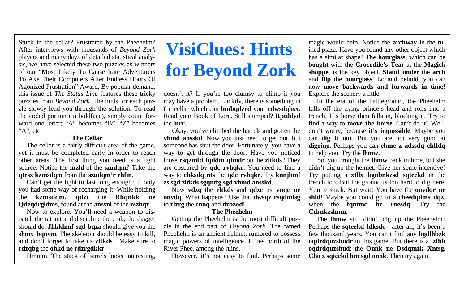#### **The Cellar**

 The cellar is a fairly difficult area of the game, yet it must be completed early in order to reach other areas. The first thing you need is a light source. Notice the **mzld** of the **szudqm**? Take the **qtrsx kzmsdqm** from the **szudqm'r rhfm**.

 Can't get the light to last long enough? If only you had some way of recharging it. While holding the **kzmsdqm, qdzc** the **Rbqnkk ne Qdeqdrgldms**, found at the **anssnl** of the **rszhqr**.

 Now to explore. You'll need a weapon to dispatch the rat ant and discipline the crab; the dagger should do. **Jhkkhmf sgd bqza** should give you the **shmx bqnvm**. The skeleton should be easy to kill, and don't forget to take its **zltkds**. Make sure to **rdzqbg** the **ohkd ne rdzrgdkkr**.

Hmmm. The stack of barrels looks interesting,

# **VisiClues: Hints for Beyond Zork**

doesn't it? If you're too clumsy to climb it you may have a problem. Luckily, there is something in the cellar which can **hmbqdzrd** your **cdwsdqhsx**. Read your Book of Lore. Still stumped? **Rptddyd** the **lnrr**.

 Okay, you've climbed the barrels and gotten the **vhmd ansskd**. Now you just need to get out, but someone has shut the door. Fortunately, you have a way to get through the door. Have you noticed those **rsqzmfd fqddm qtmdr** on the **zltkds**? They are obscured by **qdc rvhqkr**. You need to find a way to **ehksdq nts** the **qdc rvhqkr**. Try **knnjhmf zs sgd zltkds sgqntfg sgd vhmd ansskd**.

 Now **vdzq** the **zltkds** and **qdzc** its **vnqc ne onvdq**. What happens? Use that **dwsqz rsqdmfsg** to **rlzrg** the **cnnq** and **drbzod**!

#### **The Pheehelm**

 Getting the Pheehelm is the most difficult puzzle in the end part of *Beyond Zork*. The famed Pheehelm is an ancient helmet, rumored to possess magic powers of intelligence. It lies north of the River Phee, among the ruins.

However, it's not easy to find. Perhaps some

magic would help. Notice the **archway** in the ruined plaza. Have you found any other object which has a similar shape? The **hourglass**, which can be **bought** with the **Crocodile's Tear** at the **Magick shoppe**, is the key object. **Stand under** the **arch** and **flip** the **hourglass**. Lo and behold, you can now **move backwards and forwards in time**! Explore the scenery a little.

 In the era of the battleground, the Pheehelm falls off the dying prince's head and rolls into a trench. His horse then falls in, blocking it. Try to find a way to **move the horse**. Can't do it? Well, don't worry, because **it's impossible**. Maybe you can **dig it out**. But you are not very good at **digging**. Perhaps you can **ehmc z adssdq chffdq** to help you. Try the **lhmw**.

 So, you brought the **lhmw** back in time, but she didn't dig up the helmet. Give her some incentive! Try putting a **xtllx bgnbnkzsd sqteekd** in the trench too. But the ground is too hard to dig here. You're stuck. But wait! You have the **onvdar ne shld**! Maybe you could go to a **cheedqdms dqz**, when the **fantmc hr rnesda**. Try the **Cdrnkzshnm**.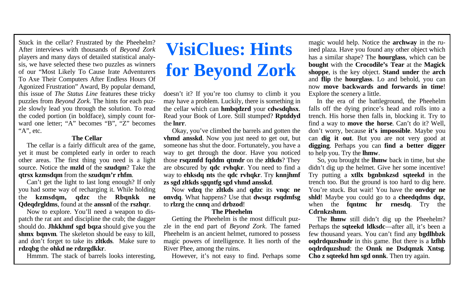#### **The Cellar**

 The cellar is a fairly difficult area of the game, yet it must be completed early in order to reach other areas. The first thing you need is a light source. Notice the **mzld** of the **szudqm**? Take the **qtrsx kzmsdqm** from the **szudqm'r rhfm**.

 Can't get the light to last long enough? If only you had some way of recharging it. While holding the **kzmsdqm, qdzc** the **Rbqnkk ne Qdeqdrgldms**, found at the **anssnl** of the **rszhqr**.

 Now to explore. You'll need a weapon to dispatch the rat ant and discipline the crab; the dagger should do. **Jhkkhmf sgd bqza** should give you the **shmx bqnvm**. The skeleton should be easy to kill, and don't forget to take its **zltkds**. Make sure to **rdzqbg** the **ohkd ne rdzrgdkkr**.

Hmmm. The stack of barrels looks interesting,

# **VisiClues: Hints for Beyond Zork**

doesn't it? If you're too clumsy to climb it you may have a problem. Luckily, there is something in the cellar which can **hmbqdzrd** your **cdwsdqhsx**. Read your Book of Lore. Still stumped? **Rptddyd** the **lnrr**.

 Okay, you've climbed the barrels and gotten the **vhmd ansskd**. Now you just need to get out, but someone has shut the door. Fortunately, you have a way to get through the door. Have you noticed those **rsqzmfd fqddm qtmdr** on the **zltkds**? They are obscured by **qdc rvhqkr**. You need to find a way to **ehksdq nts** the **qdc rvhqkr**. Try **knnjhmf zs sgd zltkds sgqntfg sgd vhmd ansskd**.

 Now **vdzq** the **zltkds** and **qdzc** its **vnqc ne onvdq**. What happens? Use that **dwsqz rsqdmfsg** to **rlzrg** the **cnnq** and **drbzod**!

#### **The Pheehelm**

 Getting the Pheehelm is the most difficult puzzle in the end part of *Beyond Zork*. The famed Pheehelm is an ancient helmet, rumored to possess magic powers of intelligence. It lies north of the River Phee, among the ruins.

However, it's not easy to find. Perhaps some

magic would help. Notice the **archway** in the ruined plaza. Have you found any other object which has a similar shape? The **hourglass**, which can be **bought** with the **Crocodile's Tear** at the **Magick shoppe**, is the key object. **Stand under** the **arch** and **flip** the **hourglass**. Lo and behold, you can now **move backwards and forwards in time**! Explore the scenery a little.

 In the era of the battleground, the Pheehelm falls off the dying prince's head and rolls into a trench. His horse then falls in, blocking it. Try to find a way to **move the horse**. Can't do it? Well, don't worry, because **it's impossible**. Maybe you can **dig it out**. But you are not very good at **digging**. Perhaps you can **find a better digger** to help you. Try the **lhmw**.

 So, you brought the **lhmw** back in time, but she didn't dig up the helmet. Give her some incentive! Try putting a **xtllx bgnbnkzsd sqteekd** in the trench too. But the ground is too hard to dig here. You're stuck. But wait! You have the **onvdar ne shld**! Maybe you could go to a **cheedqdms dqz**, when the **fantmc hr rnesda**. Try the **Cdrnkzshnm**.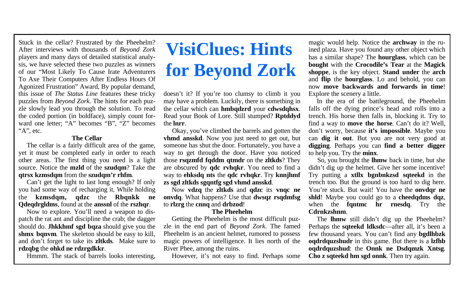#### **The Cellar**

 The cellar is a fairly difficult area of the game, yet it must be completed early in order to reach other areas. The first thing you need is a light source. Notice the **mzld** of the **szudqm**? Take the **qtrsx kzmsdqm** from the **szudqm'r rhfm**.

 Can't get the light to last long enough? If only you had some way of recharging it. While holding the **kzmsdqm, qdzc** the **Rbqnkk ne Qdeqdrgldms**, found at the **anssnl** of the **rszhqr**.

 Now to explore. You'll need a weapon to dispatch the rat ant and discipline the crab; the dagger should do. **Jhkkhmf sgd bqza** should give you the **shmx bqnvm**. The skeleton should be easy to kill, and don't forget to take its **zltkds**. Make sure to **rdzqbg** the **ohkd ne rdzrgdkkr**.

Hmmm. The stack of barrels looks interesting,

# **VisiClues: Hints for Beyond Zork**

doesn't it? If you're too clumsy to climb it you may have a problem. Luckily, there is something in the cellar which can **hmbqdzrd** your **cdwsdqhsx**. Read your Book of Lore. Still stumped? **Rptddyd** the **lnrr**.

 Okay, you've climbed the barrels and gotten the **vhmd ansskd**. Now you just need to get out, but someone has shut the door. Fortunately, you have a way to get through the door. Have you noticed those **rsqzmfd fqddm qtmdr** on the **zltkds**? They are obscured by **qdc rvhqkr**. You need to find a way to **ehksdq nts** the **qdc rvhqkr**. Try **knnjhmf zs sgd zltkds sgqntfg sgd vhmd ansskd**.

 Now **vdzq** the **zltkds** and **qdzc** its **vnqc ne onvdq**. What happens? Use that **dwsqz rsqdmfsg** to **rlzrg** the **cnnq** and **drbzod**!

#### **The Pheehelm**

 Getting the Pheehelm is the most difficult puzzle in the end part of *Beyond Zork*. The famed Pheehelm is an ancient helmet, rumored to possess magic powers of intelligence. It lies north of the River Phee, among the ruins.

However, it's not easy to find. Perhaps some

magic would help. Notice the **archway** in the ruined plaza. Have you found any other object which has a similar shape? The **hourglass**, which can be **bought** with the **Crocodile's Tear** at the **Magick shoppe**, is the key object. **Stand under** the **arch** and **flip** the **hourglass**. Lo and behold, you can now **move backwards and forwards in time**! Explore the scenery a little.

 In the era of the battleground, the Pheehelm falls off the dying prince's head and rolls into a trench. His horse then falls in, blocking it. Try to find a way to **move the horse**. Can't do it? Well, don't worry, because **it's impossible**. Maybe you can **dig it out**. But you are not very good at **digging**. Perhaps you can **find a better digger** to help you. Try the **minx**.

 So, you brought the **lhmw** back in time, but she didn't dig up the helmet. Give her some incentive! Try putting a **xtllx bgnbnkzsd sqteekd** in the trench too. But the ground is too hard to dig here. You're stuck. But wait! You have the **onvdar ne shld**! Maybe you could go to a **cheedqdms dqz**, when the **fantmc hr rnesda**. Try the **Cdrnkzshnm**.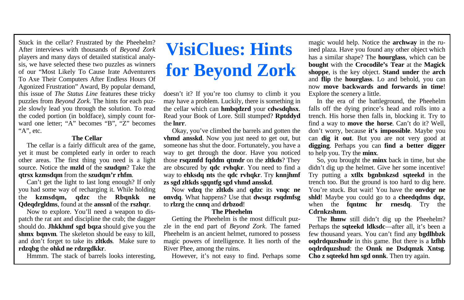#### **The Cellar**

 The cellar is a fairly difficult area of the game, yet it must be completed early in order to reach other areas. The first thing you need is a light source. Notice the **mzld** of the **szudqm**? Take the **qtrsx kzmsdqm** from the **szudqm'r rhfm**.

 Can't get the light to last long enough? If only you had some way of recharging it. While holding the **kzmsdqm, qdzc** the **Rbqnkk ne Qdeqdrgldms**, found at the **anssnl** of the **rszhqr**.

 Now to explore. You'll need a weapon to dispatch the rat ant and discipline the crab; the dagger should do. **Jhkkhmf sgd bqza** should give you the **shmx bqnvm**. The skeleton should be easy to kill, and don't forget to take its **zltkds**. Make sure to **rdzqbg** the **ohkd ne rdzrgdkkr**.

Hmmm. The stack of barrels looks interesting,

# **VisiClues: Hints for Beyond Zork**

doesn't it? If you're too clumsy to climb it you may have a problem. Luckily, there is something in the cellar which can **hmbqdzrd** your **cdwsdqhsx**. Read your Book of Lore. Still stumped? **Rptddyd** the **lnrr**.

 Okay, you've climbed the barrels and gotten the **vhmd ansskd**. Now you just need to get out, but someone has shut the door. Fortunately, you have a way to get through the door. Have you noticed those **rsqzmfd fqddm qtmdr** on the **zltkds**? They are obscured by **qdc rvhqkr**. You need to find a way to **ehksdq nts** the **qdc rvhqkr**. Try **knnjhmf zs sgd zltkds sgqntfg sgd vhmd ansskd**.

 Now **vdzq** the **zltkds** and **qdzc** its **vnqc ne onvdq**. What happens? Use that **dwsqz rsqdmfsg** to **rlzrg** the **cnnq** and **drbzod**!

#### **The Pheehelm**

 Getting the Pheehelm is the most difficult puzzle in the end part of *Beyond Zork*. The famed Pheehelm is an ancient helmet, rumored to possess magic powers of intelligence. It lies north of the River Phee, among the ruins.

However, it's not easy to find. Perhaps some

magic would help. Notice the **archway** in the ruined plaza. Have you found any other object which has a similar shape? The **hourglass**, which can be **bought** with the **Crocodile's Tear** at the **Magick shoppe**, is the key object. **Stand under** the **arch** and **flip** the **hourglass**. Lo and behold, you can now **move backwards and forwards in time**! Explore the scenery a little.

 In the era of the battleground, the Pheehelm falls off the dying prince's head and rolls into a trench. His horse then falls in, blocking it. Try to find a way to **move the horse**. Can't do it? Well, don't worry, because **it's impossible**. Maybe you can **dig it out**. But you are not very good at **digging**. Perhaps you can **find a better digger** to help you. Try the **minx**.

 So, you brought the **minx** back in time, but she didn't dig up the helmet. Give her some incentive! Try putting a **xtllx bgnbnkzsd sqteekd** in the trench too. But the ground is too hard to dig here. You're stuck. But wait! You have the **onvdar ne shld**! Maybe you could go to a **cheedqdms dqz**, when the **fantmc hr rnesda**. Try the **Cdrnkzshnm**.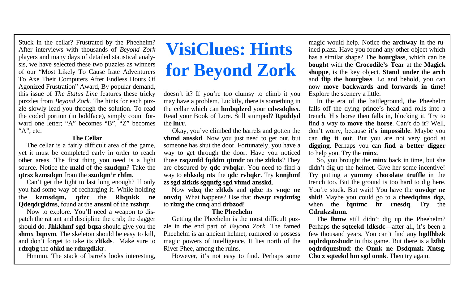#### **The Cellar**

 The cellar is a fairly difficult area of the game, yet it must be completed early in order to reach other areas. The first thing you need is a light source. Notice the **mzld** of the **szudqm**? Take the **qtrsx kzmsdqm** from the **szudqm'r rhfm**.

 Can't get the light to last long enough? If only you had some way of recharging it. While holding the **kzmsdqm, qdzc** the **Rbqnkk ne Qdeqdrgldms**, found at the **anssnl** of the **rszhqr**.

 Now to explore. You'll need a weapon to dispatch the rat ant and discipline the crab; the dagger should do. **Jhkkhmf sgd bqza** should give you the **shmx bqnvm**. The skeleton should be easy to kill, and don't forget to take its **zltkds**. Make sure to **rdzqbg** the **ohkd ne rdzrgdkkr**.

Hmmm. The stack of barrels looks interesting,

# **VisiClues: Hints for Beyond Zork**

doesn't it? If you're too clumsy to climb it you may have a problem. Luckily, there is something in the cellar which can **hmbqdzrd** your **cdwsdqhsx**. Read your Book of Lore. Still stumped? **Rptddyd** the **lnrr**.

 Okay, you've climbed the barrels and gotten the **vhmd ansskd**. Now you just need to get out, but someone has shut the door. Fortunately, you have a way to get through the door. Have you noticed those **rsqzmfd fqddm qtmdr** on the **zltkds**? They are obscured by **qdc rvhqkr**. You need to find a way to **ehksdq nts** the **qdc rvhqkr**. Try **knnjhmf zs sgd zltkds sgqntfg sgd vhmd ansskd**.

 Now **vdzq** the **zltkds** and **qdzc** its **vnqc ne onvdq**. What happens? Use that **dwsqz rsqdmfsg** to **rlzrg** the **cnnq** and **drbzod**!

#### **The Pheehelm**

 Getting the Pheehelm is the most difficult puzzle in the end part of *Beyond Zork*. The famed Pheehelm is an ancient helmet, rumored to possess magic powers of intelligence. It lies north of the River Phee, among the ruins.

However, it's not easy to find. Perhaps some

magic would help. Notice the **archway** in the ruined plaza. Have you found any other object which has a similar shape? The **hourglass**, which can be **bought** with the **Crocodile's Tear** at the **Magick shoppe**, is the key object. **Stand under** the **arch** and **flip** the **hourglass**. Lo and behold, you can now **move backwards and forwards in time**! Explore the scenery a little.

 In the era of the battleground, the Pheehelm falls off the dying prince's head and rolls into a trench. His horse then falls in, blocking it. Try to find a way to **move the horse**. Can't do it? Well, don't worry, because **it's impossible**. Maybe you can **dig it out**. But you are not very good at **digging**. Perhaps you can **find a better digger** to help you. Try the **minx**.

 So, you brought the **minx** back in time, but she didn't dig up the helmet. Give her some incentive! Try putting a **yummy chocolate truffle** in the trench too. But the ground is too hard to dig here. You're stuck. But wait! You have the **onvdar ne shld**! Maybe you could go to a **cheedqdms dqz**, when the **fantmc hr rnesda**. Try the **Cdrnkzshnm**.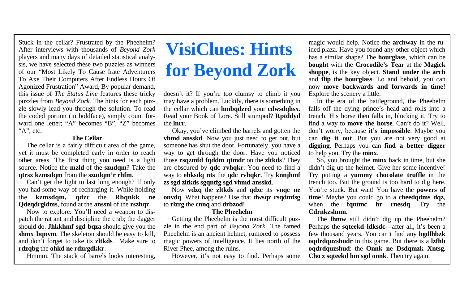#### **The Cellar**

 The cellar is a fairly difficult area of the game, yet it must be completed early in order to reach other areas. The first thing you need is a light source. Notice the **mzld** of the **szudqm**? Take the **qtrsx kzmsdqm** from the **szudqm'r rhfm**.

 Can't get the light to last long enough? If only you had some way of recharging it. While holding the **kzmsdqm, qdzc** the **Rbqnkk ne Qdeqdrgldms**, found at the **anssnl** of the **rszhqr**.

 Now to explore. You'll need a weapon to dispatch the rat ant and discipline the crab; the dagger should do. **Jhkkhmf sgd bqza** should give you the **shmx bqnvm**. The skeleton should be easy to kill, and don't forget to take its **zltkds**. Make sure to **rdzqbg** the **ohkd ne rdzrgdkkr**.

Hmmm. The stack of barrels looks interesting,

# **VisiClues: Hints for Beyond Zork**

doesn't it? If you're too clumsy to climb it you may have a problem. Luckily, there is something in the cellar which can **hmbqdzrd** your **cdwsdqhsx**. Read your Book of Lore. Still stumped? **Rptddyd** the **lnrr**.

 Okay, you've climbed the barrels and gotten the **vhmd ansskd**. Now you just need to get out, but someone has shut the door. Fortunately, you have a way to get through the door. Have you noticed those **rsqzmfd fqddm qtmdr** on the **zltkds**? They are obscured by **qdc rvhqkr**. You need to find a way to **ehksdq nts** the **qdc rvhqkr**. Try **knnjhmf zs sgd zltkds sgqntfg sgd vhmd ansskd**.

 Now **vdzq** the **zltkds** and **qdzc** its **vnqc ne onvdq**. What happens? Use that **dwsqz rsqdmfsg** to **rlzrg** the **cnnq** and **drbzod**!

#### **The Pheehelm**

 Getting the Pheehelm is the most difficult puzzle in the end part of *Beyond Zork*. The famed Pheehelm is an ancient helmet, rumored to possess magic powers of intelligence. It lies north of the River Phee, among the ruins.

However, it's not easy to find. Perhaps some

magic would help. Notice the **archway** in the ruined plaza. Have you found any other object which has a similar shape? The **hourglass**, which can be **bought** with the **Crocodile's Tear** at the **Magick shoppe**, is the key object. **Stand under** the **arch** and **flip** the **hourglass**. Lo and behold, you can now **move backwards and forwards in time**! Explore the scenery a little.

 In the era of the battleground, the Pheehelm falls off the dying prince's head and rolls into a trench. His horse then falls in, blocking it. Try to find a way to **move the horse**. Can't do it? Well, don't worry, because **it's impossible**. Maybe you can **dig it out**. But you are not very good at **digging**. Perhaps you can **find a better digger** to help you. Try the **minx**.

 So, you brought the **minx** back in time, but she didn't dig up the helmet. Give her some incentive! Try putting a **yummy chocolate truffle** in the trench too. But the ground is too hard to dig here. You're stuck. But wait! You have the **powers of time**! Maybe you could go to a **cheedqdms dqz**, when the **fantmc hr rnesda**. Try the **Cdrnkzshnm**.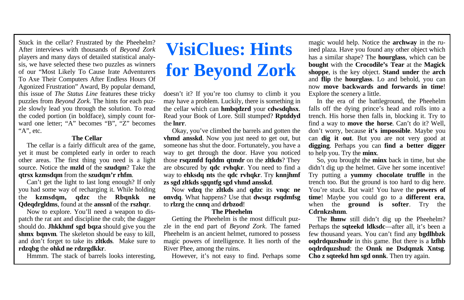#### **The Cellar**

 The cellar is a fairly difficult area of the game, yet it must be completed early in order to reach other areas. The first thing you need is a light source. Notice the **mzld** of the **szudqm**? Take the **qtrsx kzmsdqm** from the **szudqm'r rhfm**.

 Can't get the light to last long enough? If only you had some way of recharging it. While holding the **kzmsdqm, qdzc** the **Rbqnkk ne Qdeqdrgldms**, found at the **anssnl** of the **rszhqr**.

 Now to explore. You'll need a weapon to dispatch the rat ant and discipline the crab; the dagger should do. **Jhkkhmf sgd bqza** should give you the **shmx bqnvm**. The skeleton should be easy to kill, and don't forget to take its **zltkds**. Make sure to **rdzqbg** the **ohkd ne rdzrgdkkr**.

Hmmm. The stack of barrels looks interesting,

# **VisiClues: Hints for Beyond Zork**

doesn't it? If you're too clumsy to climb it you may have a problem. Luckily, there is something in the cellar which can **hmbqdzrd** your **cdwsdqhsx**. Read your Book of Lore. Still stumped? **Rptddyd** the **lnrr**.

 Okay, you've climbed the barrels and gotten the **vhmd ansskd**. Now you just need to get out, but someone has shut the door. Fortunately, you have a way to get through the door. Have you noticed those **rsqzmfd fqddm qtmdr** on the **zltkds**? They are obscured by **qdc rvhqkr**. You need to find a way to **ehksdq nts** the **qdc rvhqkr**. Try **knnjhmf zs sgd zltkds sgqntfg sgd vhmd ansskd**.

 Now **vdzq** the **zltkds** and **qdzc** its **vnqc ne onvdq**. What happens? Use that **dwsqz rsqdmfsg** to **rlzrg** the **cnnq** and **drbzod**!

#### **The Pheehelm**

 Getting the Pheehelm is the most difficult puzzle in the end part of *Beyond Zork*. The famed Pheehelm is an ancient helmet, rumored to possess magic powers of intelligence. It lies north of the River Phee, among the ruins.

However, it's not easy to find. Perhaps some

magic would help. Notice the **archway** in the ruined plaza. Have you found any other object which has a similar shape? The **hourglass**, which can be **bought** with the **Crocodile's Tear** at the **Magick shoppe**, is the key object. **Stand under** the **arch** and **flip** the **hourglass**. Lo and behold, you can now **move backwards and forwards in time**! Explore the scenery a little.

 In the era of the battleground, the Pheehelm falls off the dying prince's head and rolls into a trench. His horse then falls in, blocking it. Try to find a way to **move the horse**. Can't do it? Well, don't worry, because **it's impossible**. Maybe you can **dig it out**. But you are not very good at **digging**. Perhaps you can **find a better digger** to help you. Try the **minx**.

 So, you brought the **minx** back in time, but she didn't dig up the helmet. Give her some incentive! Try putting a **yummy chocolate truffle** in the trench too. But the ground is too hard to dig here. You're stuck. But wait! You have the **powers of time**! Maybe you could go to a **different era**, when the **ground is softer**. Try the **Cdrnkzshnm**.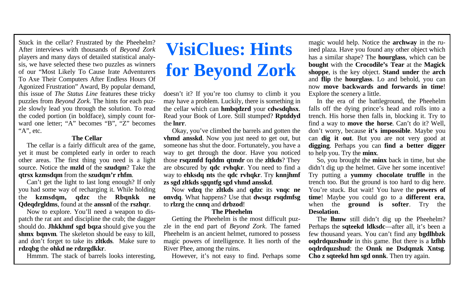#### **The Cellar**

 The cellar is a fairly difficult area of the game, yet it must be completed early in order to reach other areas. The first thing you need is a light source. Notice the **mzld** of the **szudqm**? Take the **qtrsx kzmsdqm** from the **szudqm'r rhfm**.

 Can't get the light to last long enough? If only you had some way of recharging it. While holding the **kzmsdqm, qdzc** the **Rbqnkk ne Qdeqdrgldms**, found at the **anssnl** of the **rszhqr**.

 Now to explore. You'll need a weapon to dispatch the rat ant and discipline the crab; the dagger should do. **Jhkkhmf sgd bqza** should give you the **shmx bqnvm**. The skeleton should be easy to kill, and don't forget to take its **zltkds**. Make sure to **rdzqbg** the **ohkd ne rdzrgdkkr**.

Hmmm. The stack of barrels looks interesting,

# **VisiClues: Hints for Beyond Zork**

doesn't it? If you're too clumsy to climb it you may have a problem. Luckily, there is something in the cellar which can **hmbqdzrd** your **cdwsdqhsx**. Read your Book of Lore. Still stumped? **Rptddyd** the **lnrr**.

 Okay, you've climbed the barrels and gotten the **vhmd ansskd**. Now you just need to get out, but someone has shut the door. Fortunately, you have a way to get through the door. Have you noticed those **rsqzmfd fqddm qtmdr** on the **zltkds**? They are obscured by **qdc rvhqkr**. You need to find a way to **ehksdq nts** the **qdc rvhqkr**. Try **knnjhmf zs sgd zltkds sgqntfg sgd vhmd ansskd**.

 Now **vdzq** the **zltkds** and **qdzc** its **vnqc ne onvdq**. What happens? Use that **dwsqz rsqdmfsg** to **rlzrg** the **cnnq** and **drbzod**!

#### **The Pheehelm**

 Getting the Pheehelm is the most difficult puzzle in the end part of *Beyond Zork*. The famed Pheehelm is an ancient helmet, rumored to possess magic powers of intelligence. It lies north of the River Phee, among the ruins.

However, it's not easy to find. Perhaps some

magic would help. Notice the **archway** in the ruined plaza. Have you found any other object which has a similar shape? The **hourglass**, which can be **bought** with the **Crocodile's Tear** at the **Magick shoppe**, is the key object. **Stand under** the **arch** and **flip** the **hourglass**. Lo and behold, you can now **move backwards and forwards in time**! Explore the scenery a little.

 In the era of the battleground, the Pheehelm falls off the dying prince's head and rolls into a trench. His horse then falls in, blocking it. Try to find a way to **move the horse**. Can't do it? Well, don't worry, because **it's impossible**. Maybe you can **dig it out**. But you are not very good at **digging**. Perhaps you can **find a better digger** to help you. Try the **minx**.

 So, you brought the **minx** back in time, but she didn't dig up the helmet. Give her some incentive! Try putting a **yummy chocolate truffle** in the trench too. But the ground is too hard to dig here. You're stuck. But wait! You have the **powers of time**! Maybe you could go to a **different era**, when the **ground is softer**. Try the **Desolation**.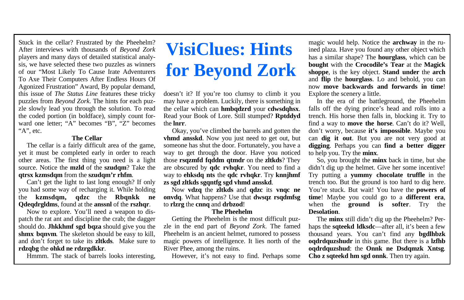#### **The Cellar**

 The cellar is a fairly difficult area of the game, yet it must be completed early in order to reach other areas. The first thing you need is a light source. Notice the **mzld** of the **szudqm**? Take the **qtrsx kzmsdqm** from the **szudqm'r rhfm**.

 Can't get the light to last long enough? If only you had some way of recharging it. While holding the **kzmsdqm, qdzc** the **Rbqnkk ne Qdeqdrgldms**, found at the **anssnl** of the **rszhqr**.

 Now to explore. You'll need a weapon to dispatch the rat ant and discipline the crab; the dagger should do. **Jhkkhmf sgd bqza** should give you the **shmx bqnvm**. The skeleton should be easy to kill, and don't forget to take its **zltkds**. Make sure to **rdzqbg** the **ohkd ne rdzrgdkkr**.

Hmmm. The stack of barrels looks interesting,

# **VisiClues: Hints for Beyond Zork**

doesn't it? If you're too clumsy to climb it you may have a problem. Luckily, there is something in the cellar which can **hmbqdzrd** your **cdwsdqhsx**. Read your Book of Lore. Still stumped? **Rptddyd** the **lnrr**.

 Okay, you've climbed the barrels and gotten the **vhmd ansskd**. Now you just need to get out, but someone has shut the door. Fortunately, you have a way to get through the door. Have you noticed those **rsqzmfd fqddm qtmdr** on the **zltkds**? They are obscured by **qdc rvhqkr**. You need to find a way to **ehksdq nts** the **qdc rvhqkr**. Try **knnjhmf zs sgd zltkds sgqntfg sgd vhmd ansskd**.

 Now **vdzq** the **zltkds** and **qdzc** its **vnqc ne onvdq**. What happens? Use that **dwsqz rsqdmfsg** to **rlzrg** the **cnnq** and **drbzod**!

#### **The Pheehelm**

 Getting the Pheehelm is the most difficult puzzle in the end part of *Beyond Zork*. The famed Pheehelm is an ancient helmet, rumored to possess magic powers of intelligence. It lies north of the River Phee, among the ruins.

However, it's not easy to find. Perhaps some

magic would help. Notice the **archway** in the ruined plaza. Have you found any other object which has a similar shape? The **hourglass**, which can be **bought** with the **Crocodile's Tear** at the **Magick shoppe**, is the key object. **Stand under** the **arch** and **flip** the **hourglass**. Lo and behold, you can now **move backwards and forwards in time**! Explore the scenery a little.

 In the era of the battleground, the Pheehelm falls off the dying prince's head and rolls into a trench. His horse then falls in, blocking it. Try to find a way to **move the horse**. Can't do it? Well, don't worry, because **it's impossible**. Maybe you can **dig it out**. But you are not very good at **digging**. Perhaps you can **find a better digger** to help you. Try the **minx**.

 So, you brought the **minx** back in time, but she didn't dig up the helmet. Give her some incentive! Try putting a **yummy chocolate truffle** in the trench too. But the ground is too hard to dig here. You're stuck. But wait! You have the **powers of time**! Maybe you could go to a **different era**, when the **ground is softer**. Try the **Desolation**.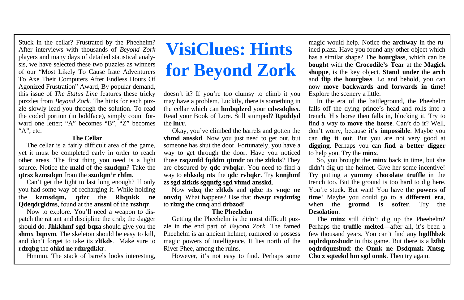#### **The Cellar**

 The cellar is a fairly difficult area of the game, yet it must be completed early in order to reach other areas. The first thing you need is a light source. Notice the **mzld** of the **szudqm**? Take the **qtrsx kzmsdqm** from the **szudqm'r rhfm**.

 Can't get the light to last long enough? If only you had some way of recharging it. While holding the **kzmsdqm, qdzc** the **Rbqnkk ne Qdeqdrgldms**, found at the **anssnl** of the **rszhqr**.

 Now to explore. You'll need a weapon to dispatch the rat ant and discipline the crab; the dagger should do. **Jhkkhmf sgd bqza** should give you the **shmx bqnvm**. The skeleton should be easy to kill, and don't forget to take its **zltkds**. Make sure to **rdzqbg** the **ohkd ne rdzrgdkkr**.

Hmmm. The stack of barrels looks interesting,

# **VisiClues: Hints for Beyond Zork**

doesn't it? If you're too clumsy to climb it you may have a problem. Luckily, there is something in the cellar which can **hmbqdzrd** your **cdwsdqhsx**. Read your Book of Lore. Still stumped? **Rptddyd** the **lnrr**.

 Okay, you've climbed the barrels and gotten the **vhmd ansskd**. Now you just need to get out, but someone has shut the door. Fortunately, you have a way to get through the door. Have you noticed those **rsqzmfd fqddm qtmdr** on the **zltkds**? They are obscured by **qdc rvhqkr**. You need to find a way to **ehksdq nts** the **qdc rvhqkr**. Try **knnjhmf zs sgd zltkds sgqntfg sgd vhmd ansskd**.

 Now **vdzq** the **zltkds** and **qdzc** its **vnqc ne onvdq**. What happens? Use that **dwsqz rsqdmfsg** to **rlzrg** the **cnnq** and **drbzod**!

#### **The Pheehelm**

 Getting the Pheehelm is the most difficult puzzle in the end part of *Beyond Zork*. The famed Pheehelm is an ancient helmet, rumored to possess magic powers of intelligence. It lies north of the River Phee, among the ruins.

However, it's not easy to find. Perhaps some

magic would help. Notice the **archway** in the ruined plaza. Have you found any other object which has a similar shape? The **hourglass**, which can be **bought** with the **Crocodile's Tear** at the **Magick shoppe**, is the key object. **Stand under** the **arch** and **flip** the **hourglass**. Lo and behold, you can now **move backwards and forwards in time**! Explore the scenery a little.

 In the era of the battleground, the Pheehelm falls off the dying prince's head and rolls into a trench. His horse then falls in, blocking it. Try to find a way to **move the horse**. Can't do it? Well, don't worry, because **it's impossible**. Maybe you can **dig it out**. But you are not very good at **digging**. Perhaps you can **find a better digger** to help you. Try the **minx**.

 So, you brought the **minx** back in time, but she didn't dig up the helmet. Give her some incentive! Try putting a **yummy chocolate truffle** in the trench too. But the ground is too hard to dig here. You're stuck. But wait! You have the **powers of time**! Maybe you could go to a **different era**, when the **ground is softer**. Try the **Desolation**.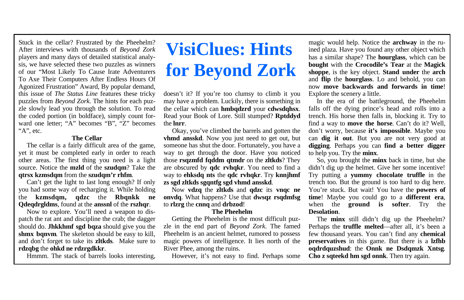#### **The Cellar**

 The cellar is a fairly difficult area of the game, yet it must be completed early in order to reach other areas. The first thing you need is a light source. Notice the **mzld** of the **szudqm**? Take the **qtrsx kzmsdqm** from the **szudqm'r rhfm**.

 Can't get the light to last long enough? If only you had some way of recharging it. While holding the **kzmsdqm, qdzc** the **Rbqnkk ne Qdeqdrgldms**, found at the **anssnl** of the **rszhqr**.

 Now to explore. You'll need a weapon to dispatch the rat ant and discipline the crab; the dagger should do. **Jhkkhmf sgd bqza** should give you the **shmx bqnvm**. The skeleton should be easy to kill, and don't forget to take its **zltkds**. Make sure to **rdzqbg** the **ohkd ne rdzrgdkkr**.

Hmmm. The stack of barrels looks interesting,

# **VisiClues: Hints for Beyond Zork**

doesn't it? If you're too clumsy to climb it you may have a problem. Luckily, there is something in the cellar which can **hmbqdzrd** your **cdwsdqhsx**. Read your Book of Lore. Still stumped? **Rptddyd** the **lnrr**.

 Okay, you've climbed the barrels and gotten the **vhmd ansskd**. Now you just need to get out, but someone has shut the door. Fortunately, you have a way to get through the door. Have you noticed those **rsqzmfd fqddm qtmdr** on the **zltkds**? They are obscured by **qdc rvhqkr**. You need to find a way to **ehksdq nts** the **qdc rvhqkr**. Try **knnjhmf zs sgd zltkds sgqntfg sgd vhmd ansskd**.

 Now **vdzq** the **zltkds** and **qdzc** its **vnqc ne onvdq**. What happens? Use that **dwsqz rsqdmfsg** to **rlzrg** the **cnnq** and **drbzod**!

#### **The Pheehelm**

 Getting the Pheehelm is the most difficult puzzle in the end part of *Beyond Zork*. The famed Pheehelm is an ancient helmet, rumored to possess magic powers of intelligence. It lies north of the River Phee, among the ruins.

However, it's not easy to find. Perhaps some

magic would help. Notice the **archway** in the ruined plaza. Have you found any other object which has a similar shape? The **hourglass**, which can be **bought** with the **Crocodile's Tear** at the **Magick shoppe**, is the key object. **Stand under** the **arch** and **flip** the **hourglass**. Lo and behold, you can now **move backwards and forwards in time**! Explore the scenery a little.

 In the era of the battleground, the Pheehelm falls off the dying prince's head and rolls into a trench. His horse then falls in, blocking it. Try to find a way to **move the horse**. Can't do it? Well, don't worry, because **it's impossible**. Maybe you can **dig it out**. But you are not very good at **digging**. Perhaps you can **find a better digger** to help you. Try the **minx**.

 So, you brought the **minx** back in time, but she didn't dig up the helmet. Give her some incentive! Try putting a **yummy chocolate truffle** in the trench too. But the ground is too hard to dig here. You're stuck. But wait! You have the **powers of time**! Maybe you could go to a **different era**, when the **ground is softer**. Try the **Desolation**.

 The **minx** still didn't dig up the Pheehelm? Perhaps the **truffle melted**—after all, it's been a few thousand years. You can't find any **chemical preservatives** in this game. But there is a **lzfhb oqdrdquzshud**: the **Onnk ne Dsdqmzk Xntsg**. **Cho z sqteekd hm sgd onnk**. Then try again.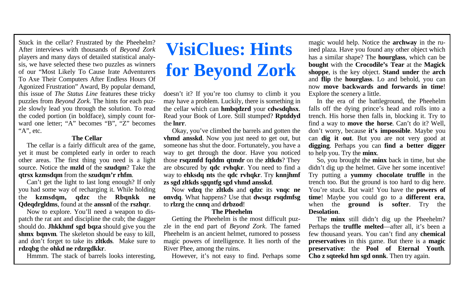#### **The Cellar**

 The cellar is a fairly difficult area of the game, yet it must be completed early in order to reach other areas. The first thing you need is a light source. Notice the **mzld** of the **szudqm**? Take the **qtrsx kzmsdqm** from the **szudqm'r rhfm**.

 Can't get the light to last long enough? If only you had some way of recharging it. While holding the **kzmsdqm, qdzc** the **Rbqnkk ne Qdeqdrgldms**, found at the **anssnl** of the **rszhqr**.

 Now to explore. You'll need a weapon to dispatch the rat ant and discipline the crab; the dagger should do. **Jhkkhmf sgd bqza** should give you the **shmx bqnvm**. The skeleton should be easy to kill, and don't forget to take its **zltkds**. Make sure to **rdzqbg** the **ohkd ne rdzrgdkkr**.

Hmmm. The stack of barrels looks interesting,

# **VisiClues: Hints for Beyond Zork**

doesn't it? If you're too clumsy to climb it you may have a problem. Luckily, there is something in the cellar which can **hmbqdzrd** your **cdwsdqhsx**. Read your Book of Lore. Still stumped? **Rptddyd** the **lnrr**.

 Okay, you've climbed the barrels and gotten the **vhmd ansskd**. Now you just need to get out, but someone has shut the door. Fortunately, you have a way to get through the door. Have you noticed those **rsqzmfd fqddm qtmdr** on the **zltkds**? They are obscured by **qdc rvhqkr**. You need to find a way to **ehksdq nts** the **qdc rvhqkr**. Try **knnjhmf zs sgd zltkds sgqntfg sgd vhmd ansskd**.

 Now **vdzq** the **zltkds** and **qdzc** its **vnqc ne onvdq**. What happens? Use that **dwsqz rsqdmfsg** to **rlzrg** the **cnnq** and **drbzod**!

#### **The Pheehelm**

 Getting the Pheehelm is the most difficult puzzle in the end part of *Beyond Zork*. The famed Pheehelm is an ancient helmet, rumored to possess magic powers of intelligence. It lies north of the River Phee, among the ruins.

However, it's not easy to find. Perhaps some

magic would help. Notice the **archway** in the ruined plaza. Have you found any other object which has a similar shape? The **hourglass**, which can be **bought** with the **Crocodile's Tear** at the **Magick shoppe**, is the key object. **Stand under** the **arch** and **flip** the **hourglass**. Lo and behold, you can now **move backwards and forwards in time**! Explore the scenery a little.

 In the era of the battleground, the Pheehelm falls off the dying prince's head and rolls into a trench. His horse then falls in, blocking it. Try to find a way to **move the horse**. Can't do it? Well, don't worry, because **it's impossible**. Maybe you can **dig it out**. But you are not very good at **digging**. Perhaps you can **find a better digger** to help you. Try the **minx**.

 So, you brought the **minx** back in time, but she didn't dig up the helmet. Give her some incentive! Try putting a **yummy chocolate truffle** in the trench too. But the ground is too hard to dig here. You're stuck. But wait! You have the **powers of time**! Maybe you could go to a **different era**, when the **ground is softer**. Try the **Desolation**.

 The **minx** still didn't dig up the Pheehelm? Perhaps the **truffle melted**—after all, it's been a few thousand years. You can't find any **chemical preservatives** in this game. But there is a **magic preservative**: the **Pool of Eternal Youth**. **Cho z sqteekd hm sgd onnk**. Then try again.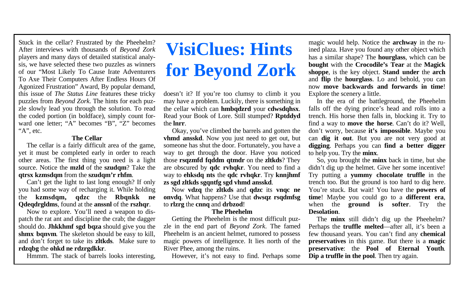#### **The Cellar**

 The cellar is a fairly difficult area of the game, yet it must be completed early in order to reach other areas. The first thing you need is a light source. Notice the **mzld** of the **szudqm**? Take the **qtrsx kzmsdqm** from the **szudqm'r rhfm**.

 Can't get the light to last long enough? If only you had some way of recharging it. While holding the **kzmsdqm, qdzc** the **Rbqnkk ne Qdeqdrgldms**, found at the **anssnl** of the **rszhqr**.

 Now to explore. You'll need a weapon to dispatch the rat ant and discipline the crab; the dagger should do. **Jhkkhmf sgd bqza** should give you the **shmx bqnvm**. The skeleton should be easy to kill, and don't forget to take its **zltkds**. Make sure to **rdzqbg** the **ohkd ne rdzrgdkkr**.

Hmmm. The stack of barrels looks interesting,

## **VisiClues: Hints for Beyond Zork**

doesn't it? If you're too clumsy to climb it you may have a problem. Luckily, there is something in the cellar which can **hmbqdzrd** your **cdwsdqhsx**. Read your Book of Lore. Still stumped? **Rptddyd** the **lnrr**.

 Okay, you've climbed the barrels and gotten the **vhmd ansskd**. Now you just need to get out, but someone has shut the door. Fortunately, you have a way to get through the door. Have you noticed those **rsqzmfd fqddm qtmdr** on the **zltkds**? They are obscured by **qdc rvhqkr**. You need to find a way to **ehksdq nts** the **qdc rvhqkr**. Try **knnjhmf zs sgd zltkds sgqntfg sgd vhmd ansskd**.

 Now **vdzq** the **zltkds** and **qdzc** its **vnqc ne onvdq**. What happens? Use that **dwsqz rsqdmfsg** to **rlzrg** the **cnnq** and **drbzod**!

### **The Pheehelm**

 Getting the Pheehelm is the most difficult puzzle in the end part of *Beyond Zork*. The famed Pheehelm is an ancient helmet, rumored to possess magic powers of intelligence. It lies north of the River Phee, among the ruins.

However, it's not easy to find. Perhaps some

magic would help. Notice the **archway** in the ruined plaza. Have you found any other object which has a similar shape? The **hourglass**, which can be **bought** with the **Crocodile's Tear** at the **Magick shoppe**, is the key object. **Stand under** the **arch** and **flip** the **hourglass**. Lo and behold, you can now **move backwards and forwards in time**! Explore the scenery a little.

 In the era of the battleground, the Pheehelm falls off the dying prince's head and rolls into a trench. His horse then falls in, blocking it. Try to find a way to **move the horse**. Can't do it? Well, don't worry, because **it's impossible**. Maybe you can **dig it out**. But you are not very good at **digging**. Perhaps you can **find a better digger** to help you. Try the **minx**.

 So, you brought the **minx** back in time, but she didn't dig up the helmet. Give her some incentive! Try putting a **yummy chocolate truffle** in the trench too. But the ground is too hard to dig here. You're stuck. But wait! You have the **powers of time**! Maybe you could go to a **different era**, when the **ground is softer**. Try the **Desolation**.

 The **minx** still didn't dig up the Pheehelm? Perhaps the **truffle melted**—after all, it's been a few thousand years. You can't find any **chemical preservatives** in this game. But there is a **magic preservative**: the **Pool of Eternal Youth**. **Dip a truffle in the pool**. Then try again.